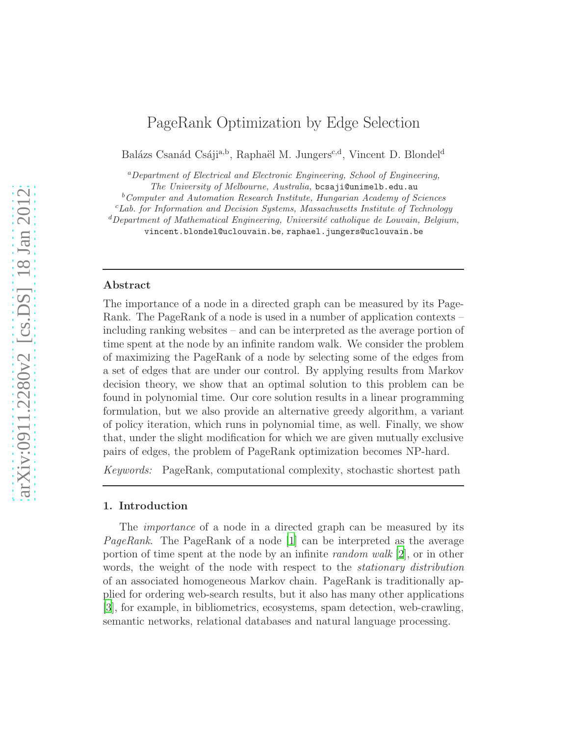# PageRank Optimization by Edge Selection

Balázs Csanád Csáji<sup>a,b</sup>, Raphaël M. Jungers<sup>c,d</sup>, Vincent D. Blondel<sup>d</sup>

<sup>a</sup>*Department of Electrical and Electronic Engineering, School of Engineering,*

*The University of Melbourne, Australia,* bcsaji@unimelb.edu.au

<sup>b</sup>*Computer and Automation Research Institute, Hungarian Academy of Sciences*

<sup>c</sup>*Lab. for Information and Decision Systems, Massachusetts Institute of Technology*

<sup>d</sup>*Department of Mathematical Engineering, Universit´e catholique de Louvain, Belgium,*

vincent.blondel@uclouvain.be*,* raphael.jungers@uclouvain.be

#### Abstract

The importance of a node in a directed graph can be measured by its Page-Rank. The PageRank of a node is used in a number of application contexts – including ranking websites – and can be interpreted as the average portion of time spent at the node by an infinite random walk. We consider the problem of maximizing the PageRank of a node by selecting some of the edges from a set of edges that are under our control. By applying results from Markov decision theory, we show that an optimal solution to this problem can be found in polynomial time. Our core solution results in a linear programming formulation, but we also provide an alternative greedy algorithm, a variant of policy iteration, which runs in polynomial time, as well. Finally, we show that, under the slight modification for which we are given mutually exclusive pairs of edges, the problem of PageRank optimization becomes NP-hard.

*Keywords:* PageRank, computational complexity, stochastic shortest path

# 1. Introduction

The *importance* of a node in a directed graph can be measured by its *PageRank*. The PageRank of a node [\[1\]](#page-28-0) can be interpreted as the average portion of time spent at the node by an infinite *random walk* [\[2\]](#page-28-1), or in other words, the weight of the node with respect to the *stationary distribution* of an associated homogeneous Markov chain. PageRank is traditionally applied for ordering web-search results, but it also has many other applications [\[3\]](#page-28-2), for example, in bibliometrics, ecosystems, spam detection, web-crawling, semantic networks, relational databases and natural language processing.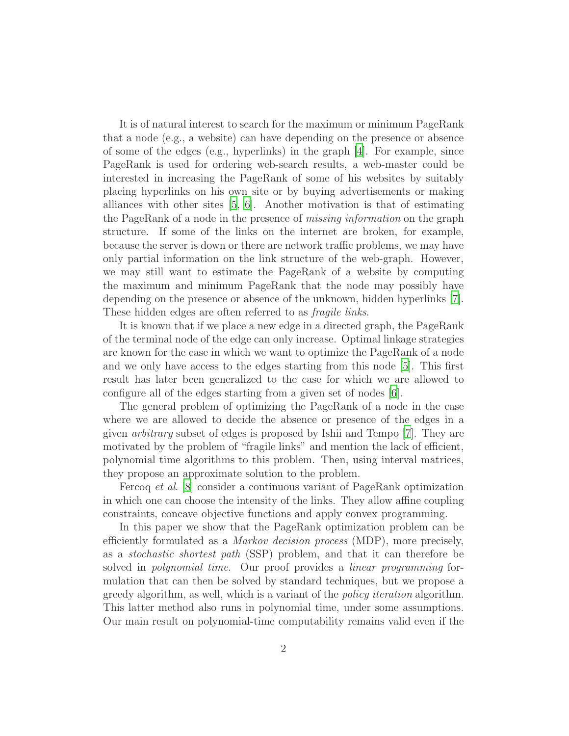It is of natural interest to search for the maximum or minimum PageRank that a node (e.g., a website) can have depending on the presence or absence of some of the edges (e.g., hyperlinks) in the graph [\[4](#page-28-3)]. For example, since PageRank is used for ordering web-search results, a web-master could be interested in increasing the PageRank of some of his websites by suitably placing hyperlinks on his own site or by buying advertisements or making alliances with other sites [\[5](#page-28-4), [6](#page-28-5)]. Another motivation is that of estimating the PageRank of a node in the presence of *missing information* on the graph structure. If some of the links on the internet are broken, for example, because the server is down or there are network traffic problems, we may have only partial information on the link structure of the web-graph. However, we may still want to estimate the PageRank of a website by computing the maximum and minimum PageRank that the node may possibly have depending on the presence or absence of the unknown, hidden hyperlinks [\[7\]](#page-28-6). These hidden edges are often referred to as *fragile links*.

It is known that if we place a new edge in a directed graph, the PageRank of the terminal node of the edge can only increase. Optimal linkage strategies are known for the case in which we want to optimize the PageRank of a node and we only have access to the edges starting from this node [\[5](#page-28-4)]. This first result has later been generalized to the case for which we are allowed to configure all of the edges starting from a given set of nodes [\[6](#page-28-5)].

The general problem of optimizing the PageRank of a node in the case where we are allowed to decide the absence or presence of the edges in a given *arbitrary* subset of edges is proposed by Ishii and Tempo [\[7](#page-28-6)]. They are motivated by the problem of "fragile links" and mention the lack of efficient, polynomial time algorithms to this problem. Then, using interval matrices, they propose an approximate solution to the problem.

Fercoq *et al*. [\[8](#page-28-7)] consider a continuous variant of PageRank optimization in which one can choose the intensity of the links. They allow affine coupling constraints, concave objective functions and apply convex programming.

In this paper we show that the PageRank optimization problem can be efficiently formulated as a *Markov decision process* (MDP), more precisely, as a *stochastic shortest path* (SSP) problem, and that it can therefore be solved in *polynomial time*. Our proof provides a *linear programming* formulation that can then be solved by standard techniques, but we propose a greedy algorithm, as well, which is a variant of the *policy iteration* algorithm. This latter method also runs in polynomial time, under some assumptions. Our main result on polynomial-time computability remains valid even if the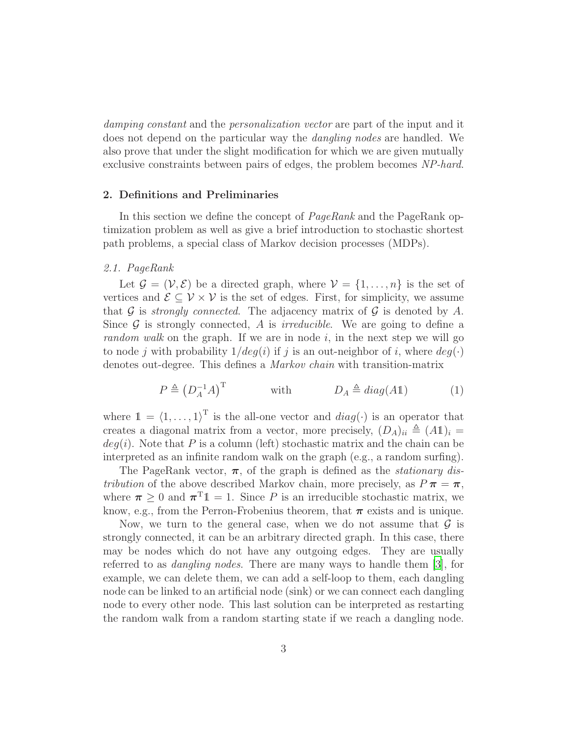*damping constant* and the *personalization vector* are part of the input and it does not depend on the particular way the *dangling nodes* are handled. We also prove that under the slight modification for which we are given mutually exclusive constraints between pairs of edges, the problem becomes *NP-hard*.

#### 2. Definitions and Preliminaries

In this section we define the concept of *PageRank* and the PageRank optimization problem as well as give a brief introduction to stochastic shortest path problems, a special class of Markov decision processes (MDPs).

## *2.1. PageRank*

Let  $\mathcal{G} = (\mathcal{V}, \mathcal{E})$  be a directed graph, where  $\mathcal{V} = \{1, \ldots, n\}$  is the set of vertices and  $\mathcal{E} \subseteq \mathcal{V} \times \mathcal{V}$  is the set of edges. First, for simplicity, we assume that  $G$  is *strongly connected*. The adjacency matrix of  $G$  is denoted by A. Since G is strongly connected, A is *irreducible*. We are going to define a *random walk* on the graph. If we are in node  $i$ , in the next step we will go to node j with probability  $1/deg(i)$  if j is an out-neighbor of i, where  $deg(\cdot)$ denotes out-degree. This defines a *Markov chain* with transition-matrix

<span id="page-2-0"></span>
$$
P \triangleq (D_A^{-1}A)^{\mathrm{T}} \qquad \text{with} \qquad D_A \triangleq diag(A\mathbb{1}) \qquad (1)
$$

where  $\mathbb{1} = \langle 1, \ldots, 1 \rangle^{\mathrm{T}}$  is the all-one vector and  $diag(\cdot)$  is an operator that creates a diagonal matrix from a vector, more precisely,  $(D_A)_{ii} \triangleq (A\mathbb{1})_i =$  $deg(i)$ . Note that P is a column (left) stochastic matrix and the chain can be interpreted as an infinite random walk on the graph (e.g., a random surfing).

The PageRank vector,  $\pi$ , of the graph is defined as the *stationary distribution* of the above described Markov chain, more precisely, as  $P\pi = \pi$ , where  $\pi \geq 0$  and  $\pi$ <sup>T</sup>1 = 1. Since *P* is an irreducible stochastic matrix, we know, e.g., from the Perron-Frobenius theorem, that  $\pi$  exists and is unique.

Now, we turn to the general case, when we do not assume that  $\mathcal G$  is strongly connected, it can be an arbitrary directed graph. In this case, there may be nodes which do not have any outgoing edges. They are usually referred to as *dangling nodes*. There are many ways to handle them [\[3\]](#page-28-2), for example, we can delete them, we can add a self-loop to them, each dangling node can be linked to an artificial node (sink) or we can connect each dangling node to every other node. This last solution can be interpreted as restarting the random walk from a random starting state if we reach a dangling node.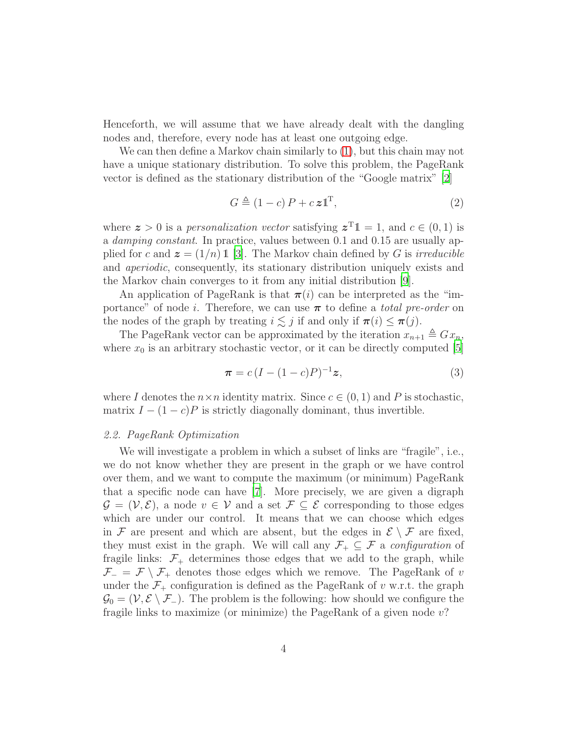Henceforth, we will assume that we have already dealt with the dangling nodes and, therefore, every node has at least one outgoing edge.

We can then define a Markov chain similarly to [\(1\)](#page-2-0), but this chain may not have a unique stationary distribution. To solve this problem, the PageRank vector is defined as the stationary distribution of the "Google matrix" [\[2\]](#page-28-1)

$$
G \triangleq (1 - c) P + c \, \mathbf{z} \mathbf{1}^{\mathrm{T}},\tag{2}
$$

where  $\boldsymbol{z} > 0$  is a *personalization vector* satisfying  $\boldsymbol{z}^{\mathrm{T}} \boldsymbol{\mathbb{1}} = 1$ , and  $c \in (0, 1)$  is a *damping constant*. In practice, values between 0.1 and 0.15 are usually applied for c and  $\boldsymbol{z} = (1/n) \boldsymbol{1}$  [\[3\]](#page-28-2). The Markov chain defined by G is *irreducible* and *aperiodic*, consequently, its stationary distribution uniquely exists and the Markov chain converges to it from any initial distribution [\[9](#page-28-8)].

An application of PageRank is that  $\pi(i)$  can be interpreted as the "importance" of node *i*. Therefore, we can use  $\pi$  to define a *total pre-order* on the nodes of the graph by treating  $i \lesssim j$  if and only if  $\pi(i) \leq \pi(j)$ .

The PageRank vector can be approximated by the iteration  $x_{n+1} \triangleq Gx_n$ , where  $x_0$  is an arbitrary stochastic vector, or it can be directly computed [\[5](#page-28-4)]

<span id="page-3-0"></span>
$$
\pi = c(I - (1 - c)P)^{-1}z,
$$
\n(3)

where I denotes the  $n \times n$  identity matrix. Since  $c \in (0,1)$  and P is stochastic, matrix  $I - (1 - c)P$  is strictly diagonally dominant, thus invertible.

#### *2.2. PageRank Optimization*

We will investigate a problem in which a subset of links are "fragile", i.e., we do not know whether they are present in the graph or we have control over them, and we want to compute the maximum (or minimum) PageRank that a specific node can have [\[7\]](#page-28-6). More precisely, we are given a digraph  $\mathcal{G} = (\mathcal{V}, \mathcal{E})$ , a node  $v \in \mathcal{V}$  and a set  $\mathcal{F} \subseteq \mathcal{E}$  corresponding to those edges which are under our control. It means that we can choose which edges in F are present and which are absent, but the edges in  $\mathcal{E} \setminus \mathcal{F}$  are fixed, they must exist in the graph. We will call any  $\mathcal{F}_+ \subseteq \mathcal{F}$  a *configuration* of fragile links:  $\mathcal{F}_+$  determines those edges that we add to the graph, while  $\mathcal{F}_- = \mathcal{F} \setminus \mathcal{F}_+$  denotes those edges which we remove. The PageRank of v under the  $\mathcal{F}_+$  configuration is defined as the PageRank of v w.r.t. the graph  $\mathcal{G}_0 = (\mathcal{V}, \mathcal{E} \setminus \mathcal{F}_-)$ . The problem is the following: how should we configure the fragile links to maximize (or minimize) the PageRank of a given node  $v$ ?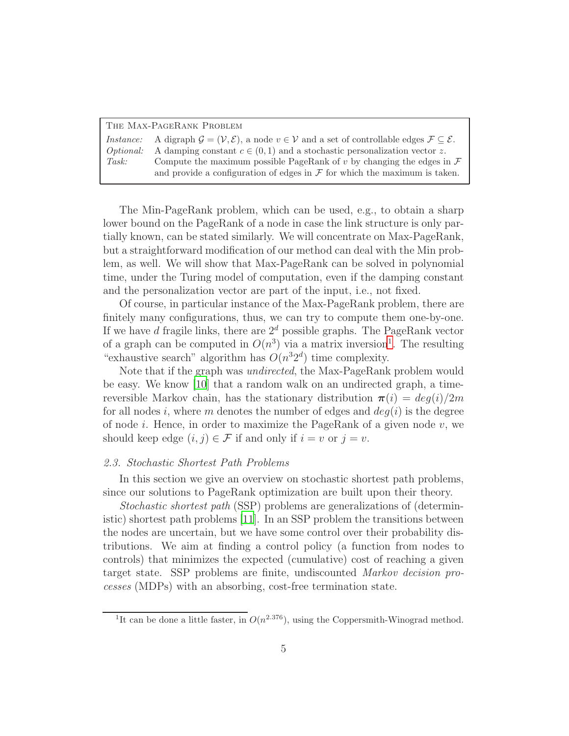| THE MAX-PAGERANK PROBLEM |                                                                                                                                                                            |  |
|--------------------------|----------------------------------------------------------------------------------------------------------------------------------------------------------------------------|--|
| <i>Instance:</i>         | A digraph $\mathcal{G} = (\mathcal{V}, \mathcal{E})$ , a node $v \in \mathcal{V}$ and a set of controllable edges $\mathcal{F} \subseteq \mathcal{E}$ .                    |  |
| <i>Optional:</i>         | A damping constant $c \in (0,1)$ and a stochastic personalization vector z.                                                                                                |  |
| Task:                    | Compute the maximum possible PageRank of $v$ by changing the edges in $\mathcal F$<br>and provide a configuration of edges in $\mathcal F$ for which the maximum is taken. |  |

The Min-PageRank problem, which can be used, e.g., to obtain a sharp lower bound on the PageRank of a node in case the link structure is only partially known, can be stated similarly. We will concentrate on Max-PageRank, but a straightforward modification of our method can deal with the Min problem, as well. We will show that Max-PageRank can be solved in polynomial time, under the Turing model of computation, even if the damping constant and the personalization vector are part of the input, i.e., not fixed.

Of course, in particular instance of the Max-PageRank problem, there are finitely many configurations, thus, we can try to compute them one-by-one. If we have d fragile links, there are  $2^d$  possible graphs. The PageRank vector of a graph can be computed in  $O(n^3)$  via a matrix inversion<sup>[1](#page-4-0)</sup>. The resulting "exhaustive search" algorithm has  $O(n^{3}2^d)$  time complexity.

Note that if the graph was *undirected*, the Max-PageRank problem would be easy. We know [\[10](#page-28-9)] that a random walk on an undirected graph, a timereversible Markov chain, has the stationary distribution  $\pi(i) = deg(i)/2m$ for all nodes i, where m denotes the number of edges and  $deg(i)$  is the degree of node i. Hence, in order to maximize the PageRank of a given node  $v$ , we should keep edge  $(i, j) \in \mathcal{F}$  if and only if  $i = v$  or  $j = v$ .

## <span id="page-4-1"></span>*2.3. Stochastic Shortest Path Problems*

In this section we give an overview on stochastic shortest path problems, since our solutions to PageRank optimization are built upon their theory.

*Stochastic shortest path* (SSP) problems are generalizations of (deterministic) shortest path problems [\[11](#page-29-0)]. In an SSP problem the transitions between the nodes are uncertain, but we have some control over their probability distributions. We aim at finding a control policy (a function from nodes to controls) that minimizes the expected (cumulative) cost of reaching a given target state. SSP problems are finite, undiscounted *Markov decision processes* (MDPs) with an absorbing, cost-free termination state.

<span id="page-4-0"></span><sup>&</sup>lt;sup>1</sup>It can be done a little faster, in  $O(n^{2.376})$ , using the Coppersmith-Winograd method.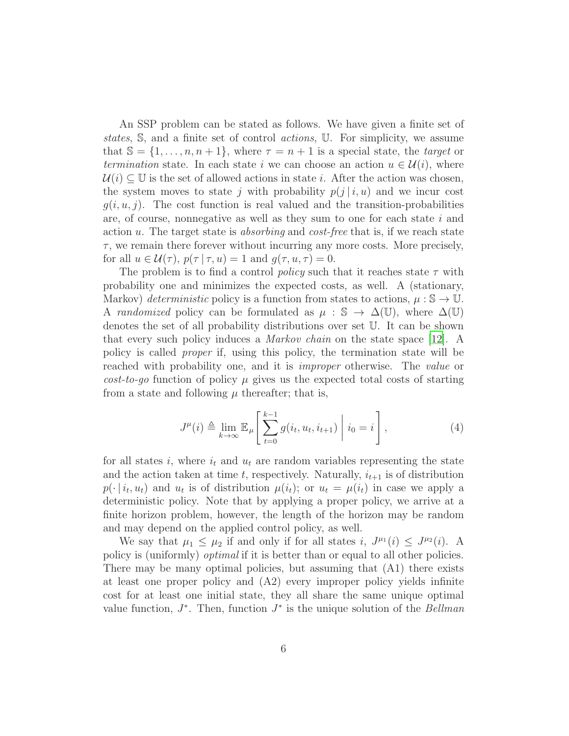An SSP problem can be stated as follows. We have given a finite set of *states*, S, and a finite set of control *actions*, U. For simplicity, we assume that  $\mathbb{S} = \{1, \ldots, n, n+1\}$ , where  $\tau = n+1$  is a special state, the *target* or *termination* state. In each state i we can choose an action  $u \in \mathcal{U}(i)$ , where  $\mathcal{U}(i) \subseteq \mathbb{U}$  is the set of allowed actions in state i. After the action was chosen, the system moves to state j with probability  $p(j | i, u)$  and we incur cost  $g(i, u, j)$ . The cost function is real valued and the transition-probabilities are, of course, nonnegative as well as they sum to one for each state i and action u. The target state is *absorbing* and *cost-free* that is, if we reach state  $\tau$ , we remain there forever without incurring any more costs. More precisely, for all  $u \in \mathcal{U}(\tau)$ ,  $p(\tau | \tau, u) = 1$  and  $q(\tau, u, \tau) = 0$ .

The problem is to find a control *policy* such that it reaches state  $\tau$  with probability one and minimizes the expected costs, as well. A (stationary, Markov) *deterministic* policy is a function from states to actions,  $\mu : \mathbb{S} \to \mathbb{U}$ . A *randomized* policy can be formulated as  $\mu : \mathbb{S} \to \Delta(\mathbb{U})$ , where  $\Delta(\mathbb{U})$ denotes the set of all probability distributions over set U. It can be shown that every such policy induces a *Markov chain* on the state space [\[12](#page-29-1)]. A policy is called *proper* if, using this policy, the termination state will be reached with probability one, and it is *improper* otherwise. The *value* or  $cost-to-qo$  function of policy  $\mu$  gives us the expected total costs of starting from a state and following  $\mu$  thereafter; that is,

$$
J^{\mu}(i) \triangleq \lim_{k \to \infty} \mathbb{E}_{\mu} \left[ \sum_{t=0}^{k-1} g(i_t, u_t, i_{t+1}) \middle| i_0 = i \right], \tag{4}
$$

for all states i, where  $i_t$  and  $u_t$  are random variables representing the state and the action taken at time  $t$ , respectively. Naturally,  $i_{t+1}$  is of distribution  $p(\cdot | i_t, u_t)$  and  $u_t$  is of distribution  $\mu(i_t)$ ; or  $u_t = \mu(i_t)$  in case we apply a deterministic policy. Note that by applying a proper policy, we arrive at a finite horizon problem, however, the length of the horizon may be random and may depend on the applied control policy, as well.

We say that  $\mu_1 \leq \mu_2$  if and only if for all states i,  $J^{\mu_1}(i) \leq J^{\mu_2}(i)$ . A policy is (uniformly) *optimal* if it is better than or equal to all other policies. There may be many optimal policies, but assuming that (A1) there exists at least one proper policy and (A2) every improper policy yields infinite cost for at least one initial state, they all share the same unique optimal value function,  $J^*$ . Then, function  $J^*$  is the unique solution of the *Bellman*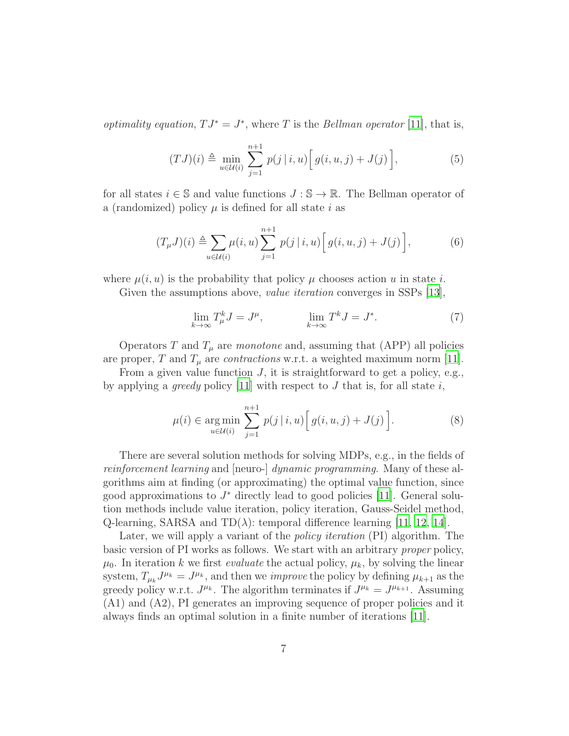*optimality equation,*  $T J^* = J^*$ , where T is the *Bellman operator* [\[11](#page-29-0)], that is,

$$
(TJ)(i) \triangleq \min_{u \in \mathcal{U}(i)} \sum_{j=1}^{n+1} p(j \mid i, u) \Big[ g(i, u, j) + J(j) \Big], \tag{5}
$$

for all states  $i \in \mathbb{S}$  and value functions  $J : \mathbb{S} \to \mathbb{R}$ . The Bellman operator of a (randomized) policy  $\mu$  is defined for all state i as

$$
(T_{\mu}J)(i) \triangleq \sum_{u \in \mathcal{U}(i)} \mu(i, u) \sum_{j=1}^{n+1} p(j \mid i, u) \Big[ g(i, u, j) + J(j) \Big],
$$
 (6)

where  $\mu(i, u)$  is the probability that policy  $\mu$  chooses action u in state i.

Given the assumptions above, *value iteration* converges in SSPs [\[13](#page-29-2)],

$$
\lim_{k \to \infty} T_{\mu}^k J = J^{\mu}, \qquad \lim_{k \to \infty} T^k J = J^*.
$$
\n(7)

Operators  $T$  and  $T_{\mu}$  are *monotone* and, assuming that (APP) all policies are proper, T and  $T_{\mu}$  are *contractions* w.r.t. a weighted maximum norm [\[11\]](#page-29-0).

From a given value function  $J$ , it is straightforward to get a policy, e.g., by applying a *greedy* policy [\[11\]](#page-29-0) with respect to J that is, for all state i,

$$
\mu(i) \in \underset{u \in \mathcal{U}(i)}{\arg \min} \sum_{j=1}^{n+1} p(j \mid i, u) \left[ g(i, u, j) + J(j) \right]. \tag{8}
$$

There are several solution methods for solving MDPs, e.g., in the fields of *reinforcement learning* and [neuro-] *dynamic programming*. Many of these algorithms aim at finding (or approximating) the optimal value function, since good approximations to  $J^*$  directly lead to good policies [\[11\]](#page-29-0). General solution methods include value iteration, policy iteration, Gauss-Seidel method, Q-learning, SARSA and  $TD(\lambda)$ : temporal difference learning [\[11](#page-29-0), [12](#page-29-1), [14\]](#page-29-3).

Later, we will apply a variant of the *policy iteration* (PI) algorithm. The basic version of PI works as follows. We start with an arbitrary *proper* policy,  $\mu_0$ . In iteration k we first *evaluate* the actual policy,  $\mu_k$ , by solving the linear system,  $T_{\mu_k}J^{\mu_k}=J^{\mu_k}$ , and then we *improve* the policy by defining  $\mu_{k+1}$  as the greedy policy w.r.t.  $J^{\mu_k}$ . The algorithm terminates if  $J^{\mu_k} = J^{\mu_{k+1}}$ . Assuming (A1) and (A2), PI generates an improving sequence of proper policies and it always finds an optimal solution in a finite number of iterations [\[11](#page-29-0)].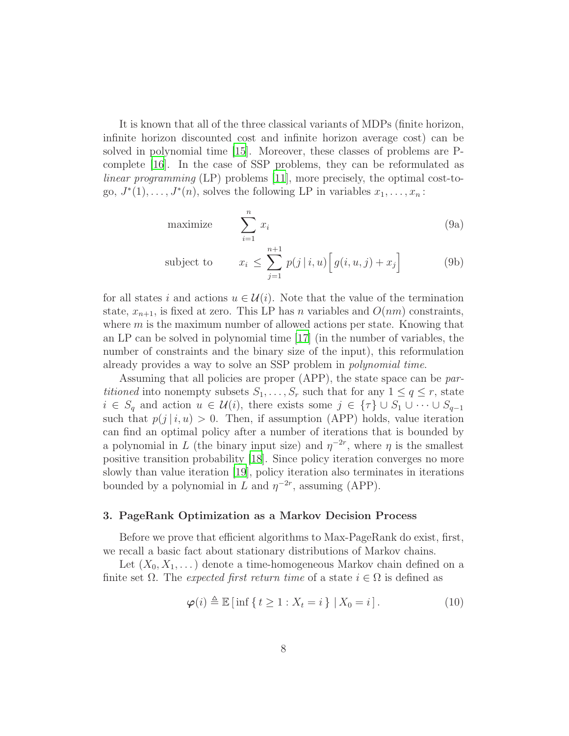It is known that all of the three classical variants of MDPs (finite horizon, infinite horizon discounted cost and infinite horizon average cost) can be solved in polynomial time [\[15\]](#page-29-4). Moreover, these classes of problems are Pcomplete [\[16\]](#page-29-5). In the case of SSP problems, they can be reformulated as *linear programming* (LP) problems [\[11\]](#page-29-0), more precisely, the optimal cost-togo,  $J^*(1), \ldots, J^*(n)$ , solves the following LP in variables  $x_1, \ldots, x_n$ :

$$
\text{maximize} \qquad \sum_{i=1}^{n} x_i \tag{9a}
$$

subject to 
$$
x_i \leq \sum_{j=1}^{n+1} p(j|i, u) \Big[ g(i, u, j) + x_j \Big]
$$
(9b)

for all states i and actions  $u \in \mathcal{U}(i)$ . Note that the value of the termination state,  $x_{n+1}$ , is fixed at zero. This LP has n variables and  $O(nm)$  constraints, where  $m$  is the maximum number of allowed actions per state. Knowing that an LP can be solved in polynomial time [\[17\]](#page-29-6) (in the number of variables, the number of constraints and the binary size of the input), this reformulation already provides a way to solve an SSP problem in *polynomial time*.

Assuming that all policies are proper (APP), the state space can be *partitioned* into nonempty subsets  $S_1, \ldots, S_r$  such that for any  $1 \leq q \leq r$ , state  $i \in S_q$  and action  $u \in \mathcal{U}(i)$ , there exists some  $j \in {\tau} \cup S_1 \cup \cdots \cup S_{q-1}$ such that  $p(j | i, u) > 0$ . Then, if assumption (APP) holds, value iteration can find an optimal policy after a number of iterations that is bounded by a polynomial in L (the binary input size) and  $\eta^{-2r}$ , where  $\eta$  is the smallest positive transition probability [\[18\]](#page-29-7). Since policy iteration converges no more slowly than value iteration [\[19](#page-29-8)], policy iteration also terminates in iterations bounded by a polynomial in L and  $\eta^{-2r}$ , assuming (APP).

## 3. PageRank Optimization as a Markov Decision Process

Before we prove that efficient algorithms to Max-PageRank do exist, first, we recall a basic fact about stationary distributions of Markov chains.

Let  $(X_0, X_1, ...)$  denote a time-homogeneous Markov chain defined on a finite set  $\Omega$ . The *expected first return time* of a state  $i \in \Omega$  is defined as

$$
\varphi(i) \triangleq \mathbb{E} \left[ \inf \{ t \ge 1 : X_t = i \} \mid X_0 = i \right]. \tag{10}
$$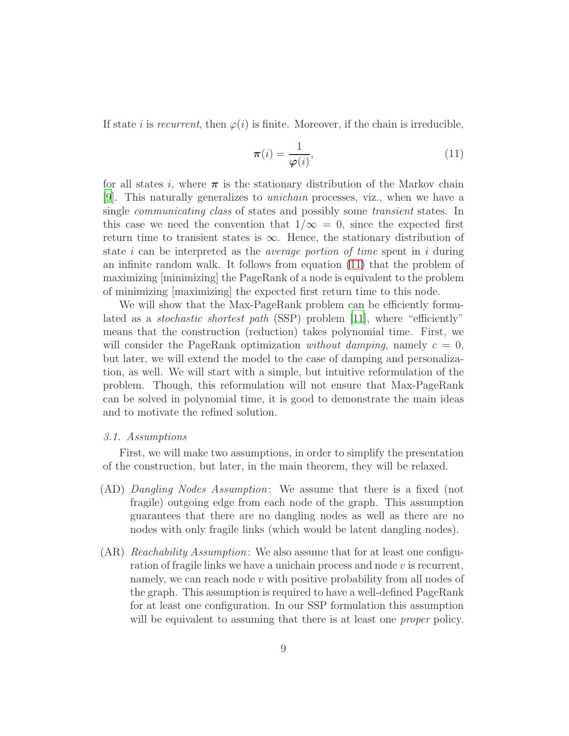If state *i* is *recurrent*, then  $\varphi(i)$  is finite. Moreover, if the chain is irreducible,

<span id="page-8-0"></span>
$$
\boldsymbol{\pi}(i) = \frac{1}{\boldsymbol{\varphi}(i)},\tag{11}
$$

for all states i, where  $\pi$  is the stationary distribution of the Markov chain [\[9\]](#page-28-8). This naturally generalizes to *unichain* processes, viz., when we have a single *communicating class* of states and possibly some *transient* states. In this case we need the convention that  $1/\infty = 0$ , since the expected first return time to transient states is  $\infty$ . Hence, the stationary distribution of state i can be interpreted as the *average portion of time* spent in i during an infinite random walk. It follows from equation [\(11\)](#page-8-0) that the problem of maximizing [minimizing] the PageRank of a node is equivalent to the problem of minimizing [maximizing] the expected first return time to this node.

We will show that the Max-PageRank problem can be efficiently formulated as a *stochastic shortest path* (SSP) problem [\[11\]](#page-29-0), where "efficiently" means that the construction (reduction) takes polynomial time. First, we will consider the PageRank optimization *without damping*, namely  $c = 0$ , but later, we will extend the model to the case of damping and personalization, as well. We will start with a simple, but intuitive reformulation of the problem. Though, this reformulation will not ensure that Max-PageRank can be solved in polynomial time, it is good to demonstrate the main ideas and to motivate the refined solution.

#### <span id="page-8-1"></span>*3.1. Assumptions*

First, we will make two assumptions, in order to simplify the presentation of the construction, but later, in the main theorem, they will be relaxed.

- (AD) *Dangling Nodes Assumption* : We assume that there is a fixed (not fragile) outgoing edge from each node of the graph. This assumption guarantees that there are no dangling nodes as well as there are no nodes with only fragile links (which would be latent dangling nodes).
- (AR) *Reachability Assumption* : We also assume that for at least one configuration of fragile links we have a unichain process and node  $v$  is recurrent, namely, we can reach node  $v$  with positive probability from all nodes of the graph. This assumption is required to have a well-defined PageRank for at least one configuration. In our SSP formulation this assumption will be equivalent to assuming that there is at least one *proper* policy.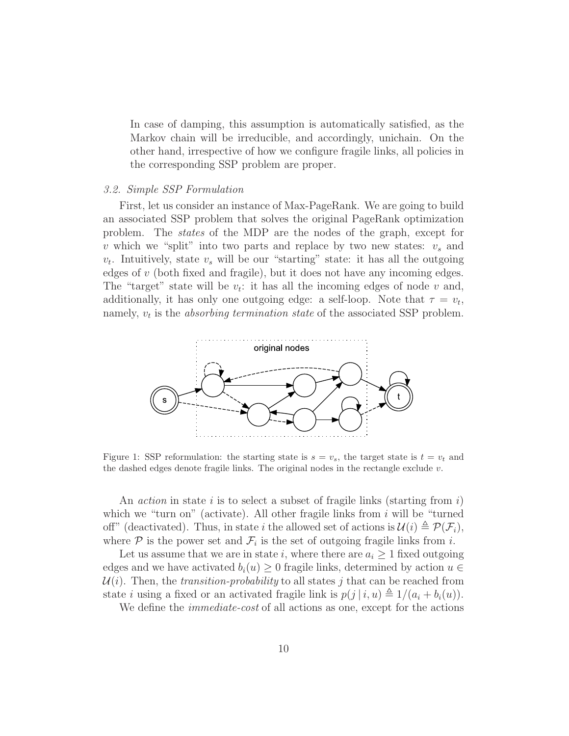In case of damping, this assumption is automatically satisfied, as the Markov chain will be irreducible, and accordingly, unichain. On the other hand, irrespective of how we configure fragile links, all policies in the corresponding SSP problem are proper.

### <span id="page-9-0"></span>*3.2. Simple SSP Formulation*

First, let us consider an instance of Max-PageRank. We are going to build an associated SSP problem that solves the original PageRank optimization problem. The *states* of the MDP are the nodes of the graph, except for  $v$  which we "split" into two parts and replace by two new states:  $v_s$  and  $v_t$ . Intuitively, state  $v_s$  will be our "starting" state: it has all the outgoing edges of  $v$  (both fixed and fragile), but it does not have any incoming edges. The "target" state will be  $v_t$ : it has all the incoming edges of node  $v$  and, additionally, it has only one outgoing edge: a self-loop. Note that  $\tau = v_t$ , namely,  $v_t$  is the *absorbing termination state* of the associated SSP problem.



Figure 1: SSP reformulation: the starting state is  $s = v_s$ , the target state is  $t = v_t$  and the dashed edges denote fragile links. The original nodes in the rectangle exclude  $v$ .

An *action* in state i is to select a subset of fragile links (starting from i) which we "turn on" (activate). All other fragile links from  $i$  will be "turned" off" (deactivated). Thus, in state i the allowed set of actions is  $\mathcal{U}(i) \triangleq \mathcal{P}(\mathcal{F}_i)$ , where  $P$  is the power set and  $\mathcal{F}_i$  is the set of outgoing fragile links from *i*.

Let us assume that we are in state i, where there are  $a_i \geq 1$  fixed outgoing edges and we have activated  $b_i(u) \geq 0$  fragile links, determined by action  $u \in$  $\mathcal{U}(i)$ . Then, the *transition-probability* to all states j that can be reached from state *i* using a fixed or an activated fragile link is  $p(j | i, u) \triangleq 1/(a_i + b_i(u)).$ 

We define the *immediate-cost* of all actions as one, except for the actions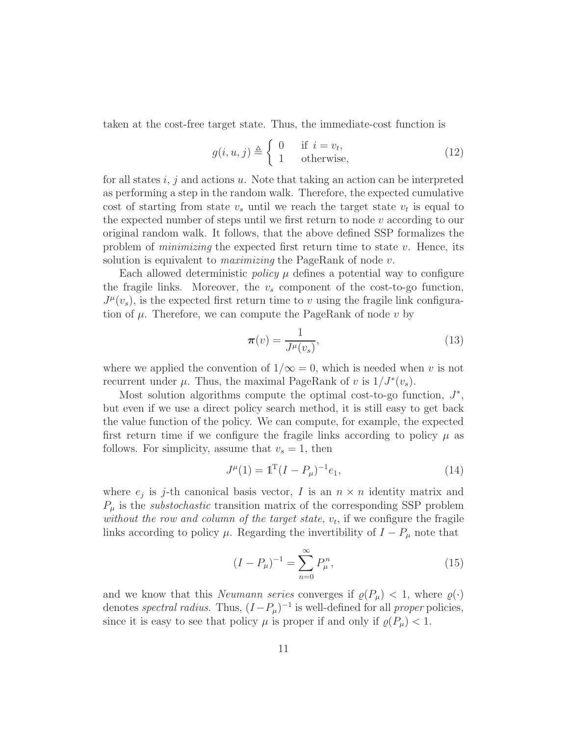taken at the cost-free target state. Thus, the immediate-cost function is

$$
g(i, u, j) \triangleq \begin{cases} 0 & \text{if } i = v_t, \\ 1 & \text{otherwise,} \end{cases}
$$
 (12)

for all states  $i$ ,  $j$  and actions u. Note that taking an action can be interpreted as performing a step in the random walk. Therefore, the expected cumulative cost of starting from state  $v_s$  until we reach the target state  $v_t$  is equal to the expected number of steps until we first return to node  $v$  according to our original random walk. It follows, that the above defined SSP formalizes the problem of *minimizing* the expected first return time to state v. Hence, its solution is equivalent to *maximizing* the PageRank of node v.

Each allowed deterministic *policy*  $\mu$  defines a potential way to configure the fragile links. Moreover, the  $v_s$  component of the cost-to-go function,  $J^{\mu}(v_s)$ , is the expected first return time to v using the fragile link configuration of  $\mu$ . Therefore, we can compute the PageRank of node  $v$  by

$$
\boldsymbol{\pi}(v) = \frac{1}{J^{\mu}(v_s)},\tag{13}
$$

where we applied the convention of  $1/\infty = 0$ , which is needed when v is not recurrent under  $\mu$ . Thus, the maximal PageRank of v is  $1/J^*(v_s)$ .

Most solution algorithms compute the optimal cost-to-go function,  $J^*$ , but even if we use a direct policy search method, it is still easy to get back the value function of the policy. We can compute, for example, the expected first return time if we configure the fragile links according to policy  $\mu$  as follows. For simplicity, assume that  $v_s = 1$ , then

$$
J^{\mu}(1) = \mathbb{1}^{\mathrm{T}}(I - P_{\mu})^{-1}e_1,\tag{14}
$$

where  $e_j$  is j-th canonical basis vector, I is an  $n \times n$  identity matrix and  $P_{\mu}$  is the *substochastic* transition matrix of the corresponding SSP problem without the row and column of the target state,  $v_t$ , if we configure the fragile links according to policy  $\mu$ . Regarding the invertibility of  $I - P_{\mu}$  note that

$$
(I - P_{\mu})^{-1} = \sum_{n=0}^{\infty} P_{\mu}^{n},
$$
\n(15)

and we know that this *Neumann series* converges if  $\varrho(P_\mu) < 1$ , where  $\varrho(\cdot)$ denotes *spectral radius*. Thus,  $(I - P_\mu)^{-1}$  is well-defined for all *proper* policies, since it is easy to see that policy  $\mu$  is proper if and only if  $\varrho(P_{\mu}) < 1$ .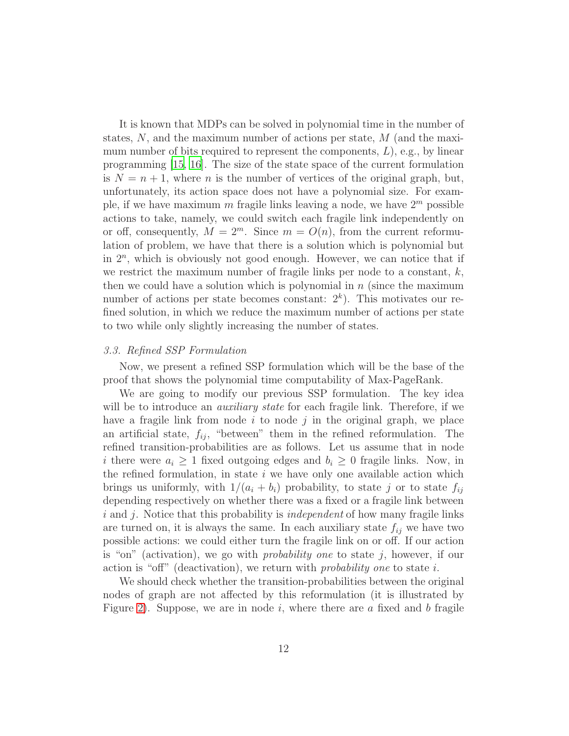It is known that MDPs can be solved in polynomial time in the number of states,  $N$ , and the maximum number of actions per state,  $M$  (and the maximum number of bits required to represent the components,  $L$ ), e.g., by linear programming [\[15,](#page-29-4) [16](#page-29-5)]. The size of the state space of the current formulation is  $N = n + 1$ , where *n* is the number of vertices of the original graph, but, unfortunately, its action space does not have a polynomial size. For example, if we have maximum  $m$  fragile links leaving a node, we have  $2^m$  possible actions to take, namely, we could switch each fragile link independently on or off, consequently,  $M = 2^m$ . Since  $m = O(n)$ , from the current reformulation of problem, we have that there is a solution which is polynomial but in  $2^n$ , which is obviously not good enough. However, we can notice that if we restrict the maximum number of fragile links per node to a constant,  $k$ , then we could have a solution which is polynomial in  $n$  (since the maximum number of actions per state becomes constant:  $2<sup>k</sup>$ ). This motivates our refined solution, in which we reduce the maximum number of actions per state to two while only slightly increasing the number of states.

## <span id="page-11-0"></span>*3.3. Refined SSP Formulation*

Now, we present a refined SSP formulation which will be the base of the proof that shows the polynomial time computability of Max-PageRank.

We are going to modify our previous SSP formulation. The key idea will be to introduce an *auxiliary state* for each fragile link. Therefore, if we have a fragile link from node i to node j in the original graph, we place an artificial state,  $f_{ij}$ , "between" them in the refined reformulation. The refined transition-probabilities are as follows. Let us assume that in node i there were  $a_i \geq 1$  fixed outgoing edges and  $b_i \geq 0$  fragile links. Now, in the refined formulation, in state  $i$  we have only one available action which brings us uniformly, with  $1/(a_i + b_i)$  probability, to state j or to state  $f_{ij}$ depending respectively on whether there was a fixed or a fragile link between i and j. Notice that this probability is *independent* of how many fragile links are turned on, it is always the same. In each auxiliary state  $f_{ij}$  we have two possible actions: we could either turn the fragile link on or off. If our action is "on" (activation), we go with *probability one* to state j, however, if our action is "off" (deactivation), we return with *probability one* to state i.

We should check whether the transition-probabilities between the original nodes of graph are not affected by this reformulation (it is illustrated by Figure [2\)](#page-12-0). Suppose, we are in node  $i$ , where there are  $a$  fixed and  $b$  fragile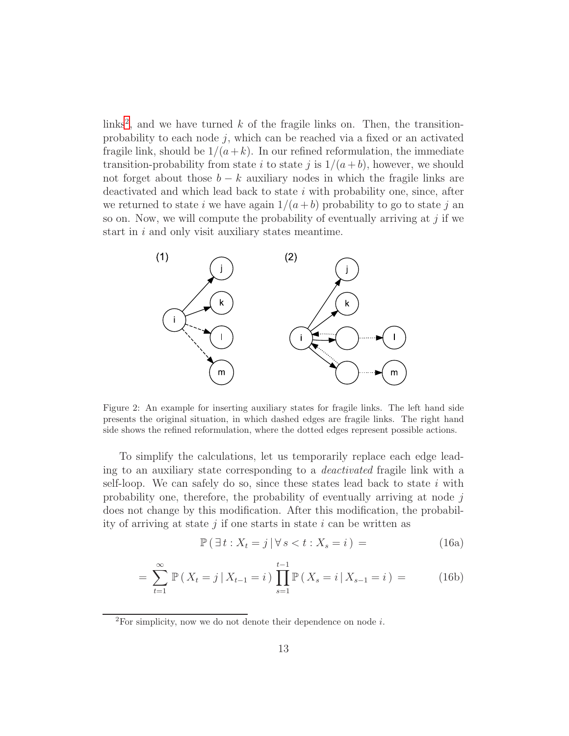links<sup>[2](#page-12-1)</sup>, and we have turned  $k$  of the fragile links on. Then, the transitionprobability to each node  $j$ , which can be reached via a fixed or an activated fragile link, should be  $1/(a+k)$ . In our refined reformulation, the immediate transition-probability from state i to state j is  $1/(a + b)$ , however, we should not forget about those  $b - k$  auxiliary nodes in which the fragile links are deactivated and which lead back to state  $i$  with probability one, since, after we returned to state i we have again  $1/(a + b)$  probability to go to state j an so on. Now, we will compute the probability of eventually arriving at  $j$  if we start in i and only visit auxiliary states meantime.



<span id="page-12-0"></span>Figure 2: An example for inserting auxiliary states for fragile links. The left hand side presents the original situation, in which dashed edges are fragile links. The right hand side shows the refined reformulation, where the dotted edges represent possible actions.

To simplify the calculations, let us temporarily replace each edge leading to an auxiliary state corresponding to a *deactivated* fragile link with a self-loop. We can safely do so, since these states lead back to state  $i$  with probability one, therefore, the probability of eventually arriving at node  $j$ does not change by this modification. After this modification, the probability of arriving at state  $j$  if one starts in state  $i$  can be written as

$$
\mathbb{P}(\exists t: X_t = j \,|\, \forall \, s < t: X_s = i) = \tag{16a}
$$

$$
= \sum_{t=1}^{\infty} \mathbb{P}\left(X_t = j \,|\, X_{t-1} = i\right) \prod_{s=1}^{t-1} \mathbb{P}\left(X_s = i \,|\, X_{s-1} = i\right) = \tag{16b}
$$

<span id="page-12-1"></span><sup>2</sup>For simplicity, now we do not denote their dependence on node  $i$ .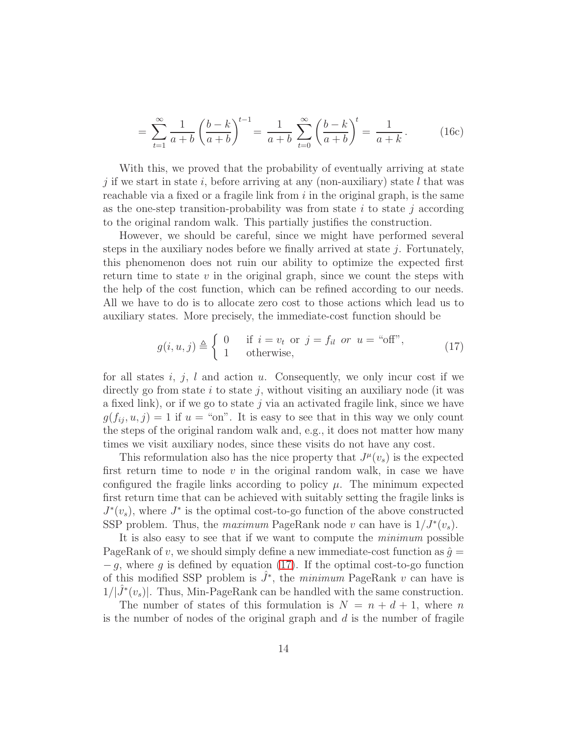$$
= \sum_{t=1}^{\infty} \frac{1}{a+b} \left(\frac{b-k}{a+b}\right)^{t-1} = \frac{1}{a+b} \sum_{t=0}^{\infty} \left(\frac{b-k}{a+b}\right)^t = \frac{1}{a+k}.
$$
 (16c)

With this, we proved that the probability of eventually arriving at state j if we start in state i, before arriving at any (non-auxiliary) state l that was reachable via a fixed or a fragile link from  $i$  in the original graph, is the same as the one-step transition-probability was from state  $i$  to state  $j$  according to the original random walk. This partially justifies the construction.

However, we should be careful, since we might have performed several steps in the auxiliary nodes before we finally arrived at state  $j$ . Fortunately, this phenomenon does not ruin our ability to optimize the expected first return time to state  $v$  in the original graph, since we count the steps with the help of the cost function, which can be refined according to our needs. All we have to do is to allocate zero cost to those actions which lead us to auxiliary states. More precisely, the immediate-cost function should be

<span id="page-13-0"></span>
$$
g(i, u, j) \triangleq \begin{cases} 0 & \text{if } i = v_t \text{ or } j = f_{il} \text{ or } u = \text{``off''}, \\ 1 & \text{otherwise}, \end{cases}
$$
 (17)

for all states  $i, j, l$  and action u. Consequently, we only incur cost if we directly go from state i to state j, without visiting an auxiliary node (it was a fixed link), or if we go to state  $j$  via an activated fragile link, since we have  $g(f_{ij}, u, j) = 1$  if  $u =$  "on". It is easy to see that in this way we only count the steps of the original random walk and, e.g., it does not matter how many times we visit auxiliary nodes, since these visits do not have any cost.

This reformulation also has the nice property that  $J^{\mu}(v_s)$  is the expected first return time to node  $v$  in the original random walk, in case we have configured the fragile links according to policy  $\mu$ . The minimum expected first return time that can be achieved with suitably setting the fragile links is  $J^*(v_s)$ , where  $J^*$  is the optimal cost-to-go function of the above constructed SSP problem. Thus, the *maximum* PageRank node v can have is  $1/J^*(v_s)$ .

It is also easy to see that if we want to compute the *minimum* possible PageRank of v, we should simply define a new immediate-cost function as  $\hat{q} =$  $-g$ , where g is defined by equation [\(17\)](#page-13-0). If the optimal cost-to-go function of this modified SSP problem is  $\hat{J}^*$ , the *minimum* PageRank v can have is  $1/|\hat{J}^*(v_s)|$ . Thus, Min-PageRank can be handled with the same construction.

The number of states of this formulation is  $N = n + d + 1$ , where n is the number of nodes of the original graph and  $d$  is the number of fragile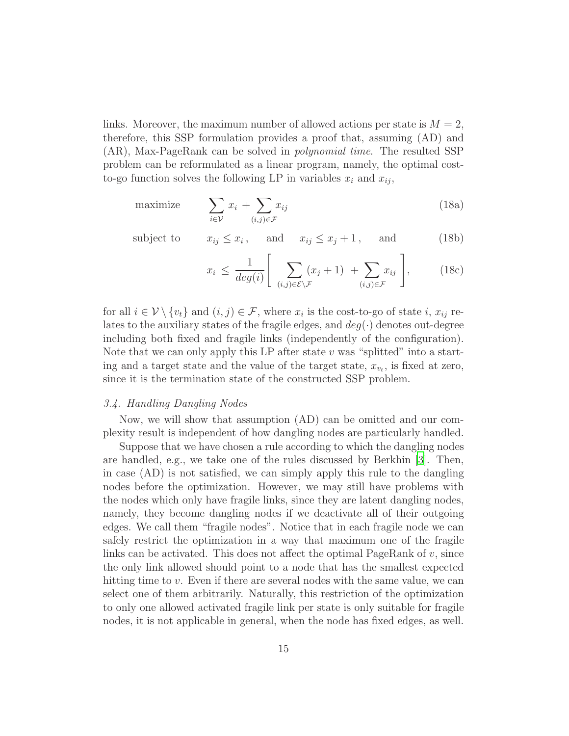links. Moreover, the maximum number of allowed actions per state is  $M = 2$ , therefore, this SSP formulation provides a proof that, assuming (AD) and (AR), Max-PageRank can be solved in *polynomial time*. The resulted SSP problem can be reformulated as a linear program, namely, the optimal costto-go function solves the following LP in variables  $x_i$  and  $x_{ij}$ ,

$$
\text{maximize} \qquad \sum_{i \in \mathcal{V}} x_i + \sum_{(i,j) \in \mathcal{F}} x_{ij} \tag{18a}
$$

subject to  $x_{ij} \leq x_i$ , and  $x_{ij} \leq x_j + 1$ , and (18b)

<span id="page-14-1"></span>
$$
x_i \le \frac{1}{deg(i)} \left[ \sum_{(i,j)\in\mathcal{E}\backslash\mathcal{F}} (x_j + 1) + \sum_{(i,j)\in\mathcal{F}} x_{ij} \right],
$$
 (18c)

for all  $i \in \mathcal{V} \setminus \{v_t\}$  and  $(i, j) \in \mathcal{F}$ , where  $x_i$  is the cost-to-go of state  $i$ ,  $x_{ij}$  relates to the auxiliary states of the fragile edges, and  $deg(\cdot)$  denotes out-degree including both fixed and fragile links (independently of the configuration). Note that we can only apply this LP after state  $v$  was "splitted" into a starting and a target state and the value of the target state,  $x_{v_t}$ , is fixed at zero, since it is the termination state of the constructed SSP problem.

# <span id="page-14-0"></span>*3.4. Handling Dangling Nodes*

Now, we will show that assumption (AD) can be omitted and our complexity result is independent of how dangling nodes are particularly handled.

Suppose that we have chosen a rule according to which the dangling nodes are handled, e.g., we take one of the rules discussed by Berkhin [\[3\]](#page-28-2). Then, in case (AD) is not satisfied, we can simply apply this rule to the dangling nodes before the optimization. However, we may still have problems with the nodes which only have fragile links, since they are latent dangling nodes, namely, they become dangling nodes if we deactivate all of their outgoing edges. We call them "fragile nodes". Notice that in each fragile node we can safely restrict the optimization in a way that maximum one of the fragile links can be activated. This does not affect the optimal PageRank of  $v$ , since the only link allowed should point to a node that has the smallest expected hitting time to v. Even if there are several nodes with the same value, we can select one of them arbitrarily. Naturally, this restriction of the optimization to only one allowed activated fragile link per state is only suitable for fragile nodes, it is not applicable in general, when the node has fixed edges, as well.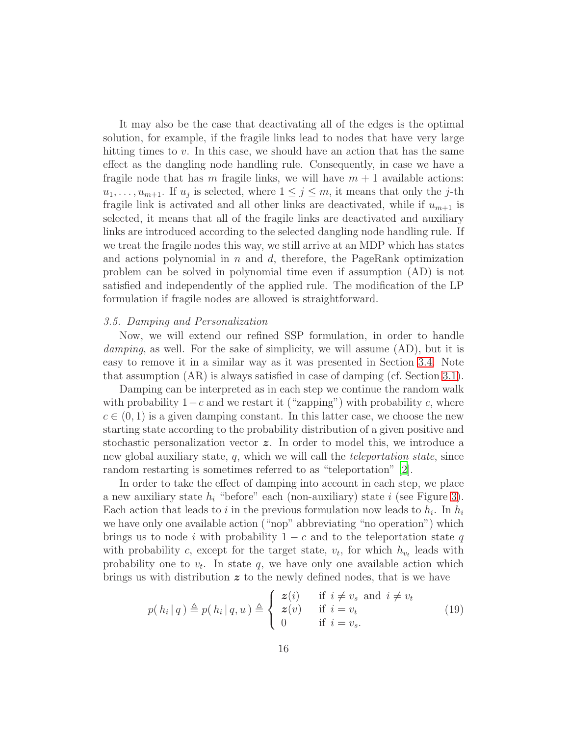It may also be the case that deactivating all of the edges is the optimal solution, for example, if the fragile links lead to nodes that have very large hitting times to  $v$ . In this case, we should have an action that has the same effect as the dangling node handling rule. Consequently, in case we have a fragile node that has m fragile links, we will have  $m + 1$  available actions:  $u_1, \ldots, u_{m+1}$ . If  $u_j$  is selected, where  $1 \leq j \leq m$ , it means that only the j-th fragile link is activated and all other links are deactivated, while if  $u_{m+1}$  is selected, it means that all of the fragile links are deactivated and auxiliary links are introduced according to the selected dangling node handling rule. If we treat the fragile nodes this way, we still arrive at an MDP which has states and actions polynomial in  $n$  and  $d$ , therefore, the PageRank optimization problem can be solved in polynomial time even if assumption (AD) is not satisfied and independently of the applied rule. The modification of the LP formulation if fragile nodes are allowed is straightforward.

## <span id="page-15-0"></span>*3.5. Damping and Personalization*

Now, we will extend our refined SSP formulation, in order to handle *damping*, as well. For the sake of simplicity, we will assume (AD), but it is easy to remove it in a similar way as it was presented in Section [3.4.](#page-14-0) Note that assumption (AR) is always satisfied in case of damping (cf. Section [3.1\)](#page-8-1).

Damping can be interpreted as in each step we continue the random walk with probability  $1-c$  and we restart it ("zapping") with probability c, where  $c \in (0, 1)$  is a given damping constant. In this latter case, we choose the new starting state according to the probability distribution of a given positive and stochastic personalization vector z. In order to model this, we introduce a new global auxiliary state, q, which we will call the *teleportation state*, since random restarting is sometimes referred to as "teleportation" [\[2](#page-28-1)].

In order to take the effect of damping into account in each step, we place a new auxiliary state  $h_i$  "before" each (non-auxiliary) state i (see Figure [3\)](#page-16-0). Each action that leads to i in the previous formulation now leads to  $h_i$ . In  $h_i$ we have only one available action ("nop" abbreviating "no operation") which brings us to node i with probability  $1 - c$  and to the teleportation state q with probability c, except for the target state,  $v_t$ , for which  $h_{v_t}$  leads with probability one to  $v_t$ . In state q, we have only one available action which brings us with distribution  $z$  to the newly defined nodes, that is we have

$$
p(h_i | q) \triangleq p(h_i | q, u) \triangleq \begin{cases} z(i) & \text{if } i \neq v_s \text{ and } i \neq v_t \\ z(v) & \text{if } i = v_t \\ 0 & \text{if } i = v_s. \end{cases}
$$
 (19)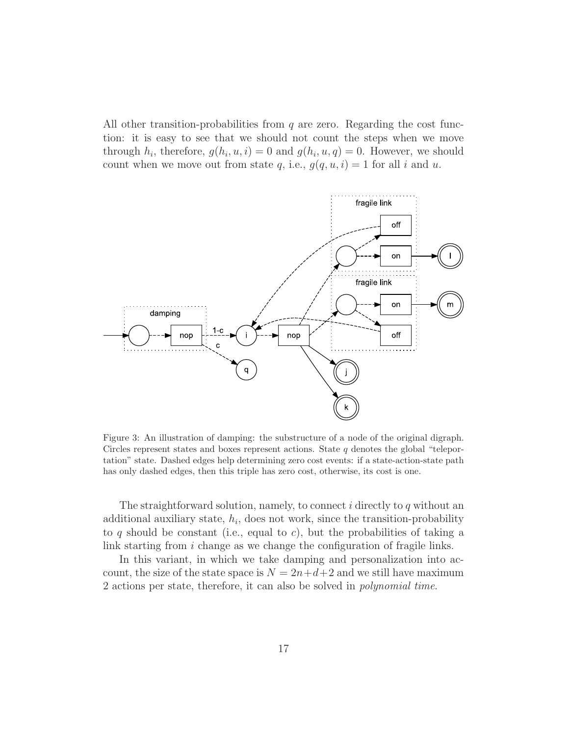All other transition-probabilities from  $q$  are zero. Regarding the cost function: it is easy to see that we should not count the steps when we move through  $h_i$ , therefore,  $g(h_i, u, i) = 0$  and  $g(h_i, u, q) = 0$ . However, we should count when we move out from state q, i.e.,  $g(q, u, i) = 1$  for all i and u.



<span id="page-16-0"></span>Figure 3: An illustration of damping: the substructure of a node of the original digraph. Circles represent states and boxes represent actions. State  $q$  denotes the global "teleportation" state. Dashed edges help determining zero cost events: if a state-action-state path has only dashed edges, then this triple has zero cost, otherwise, its cost is one.

The straightforward solution, namely, to connect  $i$  directly to  $q$  without an additional auxiliary state,  $h_i$ , does not work, since the transition-probability to q should be constant (i.e., equal to c), but the probabilities of taking a link starting from i change as we change the configuration of fragile links.

In this variant, in which we take damping and personalization into account, the size of the state space is  $N = 2n+d+2$  and we still have maximum 2 actions per state, therefore, it can also be solved in *polynomial time*.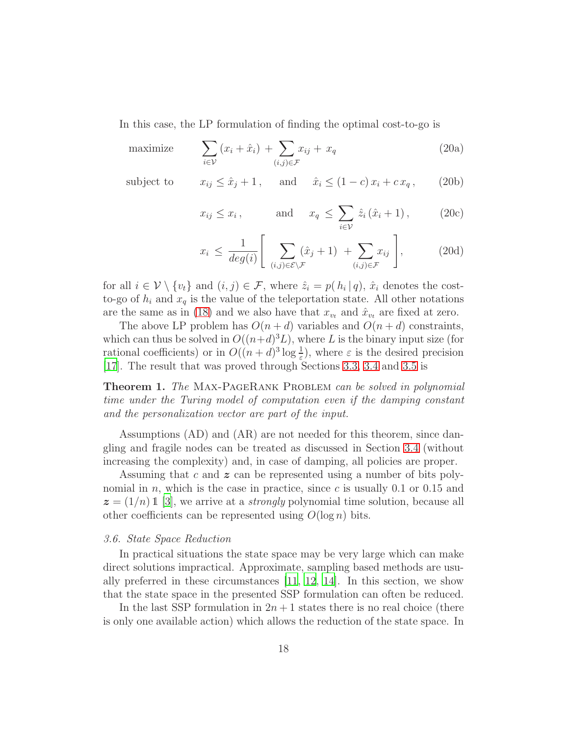In this case, the LP formulation of finding the optimal cost-to-go is

maximize

$$
\sum_{i \in \mathcal{V}} (x_i + \hat{x}_i) + \sum_{(i,j) \in \mathcal{F}} x_{ij} + x_q
$$
 (20a)

subject to  $x_{ij} \leq \hat{x}_j + 1$ , and  $\hat{x}_i \leq (1 - c) x_i + c x_q$ , (20b)

$$
x_{ij} \leq x_i
$$
, and  $x_q \leq \sum_{i \in \mathcal{V}} \hat{z}_i (\hat{x}_i + 1)$ , (20c)

$$
x_i \le \frac{1}{deg(i)} \left[ \sum_{(i,j)\in \mathcal{E}\setminus \mathcal{F}} (\hat{x}_j + 1) + \sum_{(i,j)\in \mathcal{F}} x_{ij} \right],
$$
 (20d)

for all  $i \in \mathcal{V} \setminus \{v_t\}$  and  $(i, j) \in \mathcal{F}$ , where  $\hat{z}_i = p(h_i | q)$ ,  $\hat{x}_i$  denotes the costto-go of  $h_i$  and  $x_q$  is the value of the teleportation state. All other notations are the same as in [\(18\)](#page-14-1) and we also have that  $x_{v_t}$  and  $\hat{x}_{v_t}$  are fixed at zero.

The above LP problem has  $O(n + d)$  variables and  $O(n + d)$  constraints, which can thus be solved in  $O((n+d)^3L)$ , where L is the binary input size (for rational coefficients) or in  $O((n+d)^3 \log \frac{1}{\varepsilon})$ , where  $\varepsilon$  is the desired precision [\[17\]](#page-29-6). The result that was proved through Sections [3.3,](#page-11-0) [3.4](#page-14-0) and [3.5](#page-15-0) is

Theorem 1. *The* Max-PageRank Problem *can be solved in polynomial time under the Turing model of computation even if the damping constant and the personalization vector are part of the input.*

Assumptions (AD) and (AR) are not needed for this theorem, since dangling and fragile nodes can be treated as discussed in Section [3.4](#page-14-0) (without increasing the complexity) and, in case of damping, all policies are proper.

Assuming that c and  $\boldsymbol{z}$  can be represented using a number of bits polynomial in n, which is the case in practice, since c is usually  $0.1$  or  $0.15$  and  $z = (1/n)$  1 [\[3](#page-28-2)], we arrive at a *strongly* polynomial time solution, because all other coefficients can be represented using  $O(\log n)$  bits.

# *3.6. State Space Reduction*

In practical situations the state space may be very large which can make direct solutions impractical. Approximate, sampling based methods are usually preferred in these circumstances [\[11,](#page-29-0) [12](#page-29-1), [14\]](#page-29-3). In this section, we show that the state space in the presented SSP formulation can often be reduced.

In the last SSP formulation in  $2n + 1$  states there is no real choice (there is only one available action) which allows the reduction of the state space. In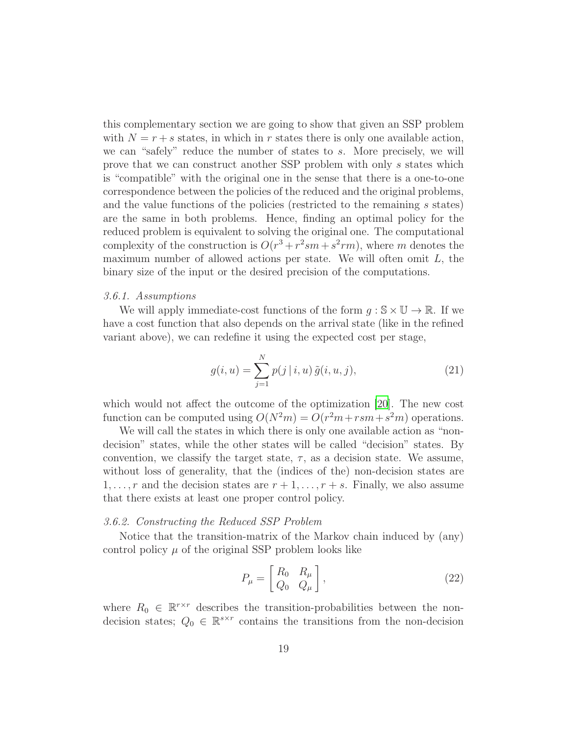this complementary section we are going to show that given an SSP problem with  $N = r + s$  states, in which in r states there is only one available action, we can "safely" reduce the number of states to s. More precisely, we will prove that we can construct another SSP problem with only s states which is "compatible" with the original one in the sense that there is a one-to-one correspondence between the policies of the reduced and the original problems, and the value functions of the policies (restricted to the remaining s states) are the same in both problems. Hence, finding an optimal policy for the reduced problem is equivalent to solving the original one. The computational complexity of the construction is  $O(r^3 + r^2 sm + s^2 rm)$ , where m denotes the maximum number of allowed actions per state. We will often omit  $L$ , the binary size of the input or the desired precision of the computations.

#### *3.6.1. Assumptions*

We will apply immediate-cost functions of the form  $g : \mathbb{S} \times \mathbb{U} \to \mathbb{R}$ . If we have a cost function that also depends on the arrival state (like in the refined variant above), we can redefine it using the expected cost per stage,

$$
g(i, u) = \sum_{j=1}^{N} p(j | i, u) \tilde{g}(i, u, j),
$$
 (21)

which would not affect the outcome of the optimization [\[20\]](#page-29-9). The new cost function can be computed using  $O(N^2m) = O(r^2m + rsm + s^2m)$  operations.

We will call the states in which there is only one available action as "nondecision" states, while the other states will be called "decision" states. By convention, we classify the target state,  $\tau$ , as a decision state. We assume, without loss of generality, that the (indices of the) non-decision states are  $1, \ldots, r$  and the decision states are  $r + 1, \ldots, r + s$ . Finally, we also assume that there exists at least one proper control policy.

# *3.6.2. Constructing the Reduced SSP Problem*

Notice that the transition-matrix of the Markov chain induced by (any) control policy  $\mu$  of the original SSP problem looks like

$$
P_{\mu} = \begin{bmatrix} R_0 & R_{\mu} \\ Q_0 & Q_{\mu} \end{bmatrix},\tag{22}
$$

where  $R_0 \in \mathbb{R}^{r \times r}$  describes the transition-probabilities between the nondecision states;  $Q_0 \in \mathbb{R}^{s \times r}$  contains the transitions from the non-decision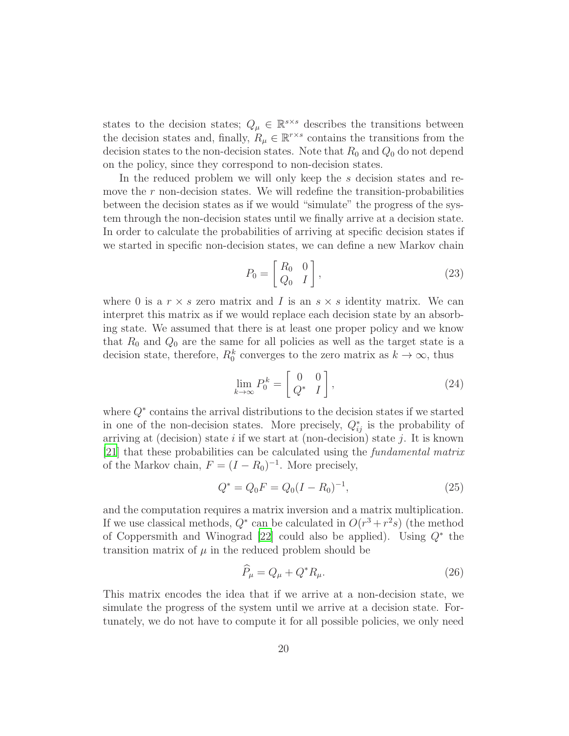states to the decision states;  $Q_{\mu} \in \mathbb{R}^{s \times s}$  describes the transitions between the decision states and, finally,  $R_{\mu} \in \mathbb{R}^{r \times s}$  contains the transitions from the decision states to the non-decision states. Note that  $R_0$  and  $Q_0$  do not depend on the policy, since they correspond to non-decision states.

In the reduced problem we will only keep the s decision states and remove the  $r$  non-decision states. We will redefine the transition-probabilities between the decision states as if we would "simulate" the progress of the system through the non-decision states until we finally arrive at a decision state. In order to calculate the probabilities of arriving at specific decision states if we started in specific non-decision states, we can define a new Markov chain

$$
P_0 = \begin{bmatrix} R_0 & 0 \\ Q_0 & I \end{bmatrix},\tag{23}
$$

where 0 is a  $r \times s$  zero matrix and I is an  $s \times s$  identity matrix. We can interpret this matrix as if we would replace each decision state by an absorbing state. We assumed that there is at least one proper policy and we know that  $R_0$  and  $Q_0$  are the same for all policies as well as the target state is a decision state, therefore,  $R_0^k$  converges to the zero matrix as  $k \to \infty$ , thus

$$
\lim_{k \to \infty} P_0^k = \begin{bmatrix} 0 & 0 \\ Q^* & I \end{bmatrix},\tag{24}
$$

where Q<sup>∗</sup> contains the arrival distributions to the decision states if we started in one of the non-decision states. More precisely,  $Q_{ij}^*$  is the probability of arriving at (decision) state  $i$  if we start at (non-decision) state  $j$ . It is known [\[21\]](#page-29-10) that these probabilities can be calculated using the *fundamental matrix* of the Markov chain,  $F = (I - R_0)^{-1}$ . More precisely,

$$
Q^* = Q_0 F = Q_0 (I - R_0)^{-1}, \tag{25}
$$

and the computation requires a matrix inversion and a matrix multiplication. If we use classical methods,  $Q^*$  can be calculated in  $O(r^3 + r^2s)$  (the method of Coppersmith and Winograd [\[22\]](#page-29-11) could also be applied). Using  $Q^*$  the transition matrix of  $\mu$  in the reduced problem should be

$$
\widehat{P}_{\mu} = Q_{\mu} + Q^* R_{\mu}.
$$
\n(26)

This matrix encodes the idea that if we arrive at a non-decision state, we simulate the progress of the system until we arrive at a decision state. Fortunately, we do not have to compute it for all possible policies, we only need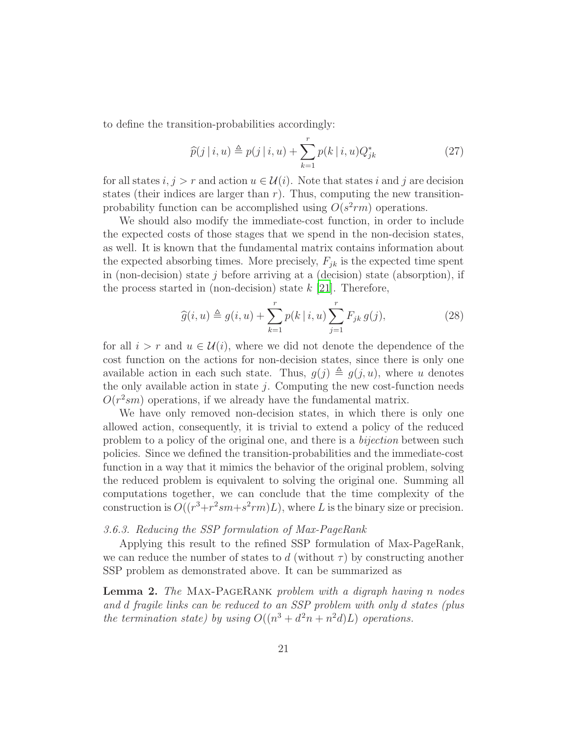to define the transition-probabilities accordingly:

$$
\widehat{p}(j \mid i, u) \triangleq p(j \mid i, u) + \sum_{k=1}^{r} p(k \mid i, u) Q_{jk}^{*}
$$
\n(27)

for all states  $i, j > r$  and action  $u \in \mathcal{U}(i)$ . Note that states i and j are decision states (their indices are larger than  $r$ ). Thus, computing the new transitionprobability function can be accomplished using  $O(s^2rm)$  operations.

We should also modify the immediate-cost function, in order to include the expected costs of those stages that we spend in the non-decision states, as well. It is known that the fundamental matrix contains information about the expected absorbing times. More precisely,  $F_{ik}$  is the expected time spent in (non-decision) state  $j$  before arriving at a (decision) state (absorption), if the process started in (non-decision) state  $k$  [\[21](#page-29-10)]. Therefore,

$$
\widehat{g}(i, u) \triangleq g(i, u) + \sum_{k=1}^{r} p(k | i, u) \sum_{j=1}^{r} F_{jk} g(j),
$$
\n(28)

for all  $i > r$  and  $u \in \mathcal{U}(i)$ , where we did not denote the dependence of the cost function on the actions for non-decision states, since there is only one available action in each such state. Thus,  $q(j) \triangleq q(j, u)$ , where u denotes the only available action in state  $j$ . Computing the new cost-function needs  $O(r^2 sm)$  operations, if we already have the fundamental matrix.

We have only removed non-decision states, in which there is only one allowed action, consequently, it is trivial to extend a policy of the reduced problem to a policy of the original one, and there is a *bijection* between such policies. Since we defined the transition-probabilities and the immediate-cost function in a way that it mimics the behavior of the original problem, solving the reduced problem is equivalent to solving the original one. Summing all computations together, we can conclude that the time complexity of the construction is  $O((r^3 + r^2 sm + s^2 rm)L)$ , where L is the binary size or precision.

# *3.6.3. Reducing the SSP formulation of Max-PageRank*

Applying this result to the refined SSP formulation of Max-PageRank, we can reduce the number of states to d (without  $\tau$ ) by constructing another SSP problem as demonstrated above. It can be summarized as

Lemma 2. *The* Max-PageRank *problem with a digraph having* n *nodes and* d *fragile links can be reduced to an SSP problem with only* d *states (plus the termination state) by using*  $O((n^3 + d^2n + n^2d)L)$  *operations.*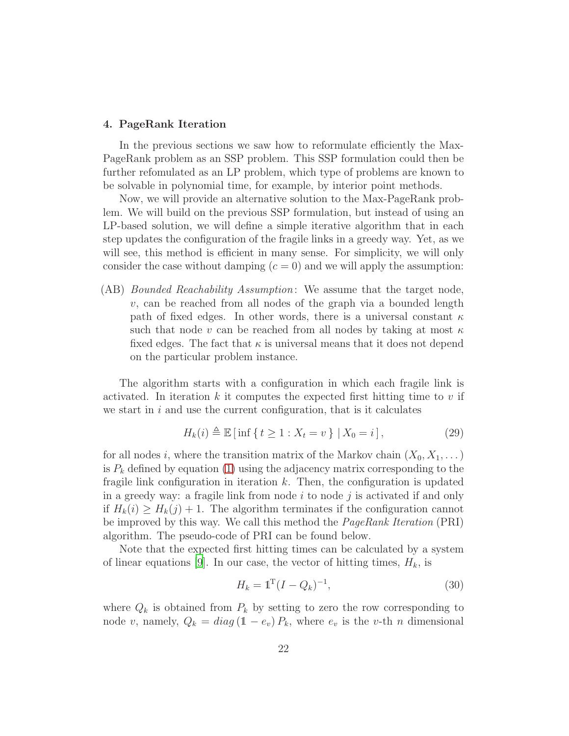#### 4. PageRank Iteration

In the previous sections we saw how to reformulate efficiently the Max-PageRank problem as an SSP problem. This SSP formulation could then be further refomulated as an LP problem, which type of problems are known to be solvable in polynomial time, for example, by interior point methods.

Now, we will provide an alternative solution to the Max-PageRank problem. We will build on the previous SSP formulation, but instead of using an LP-based solution, we will define a simple iterative algorithm that in each step updates the configuration of the fragile links in a greedy way. Yet, as we will see, this method is efficient in many sense. For simplicity, we will only consider the case without damping  $(c = 0)$  and we will apply the assumption:

(AB) *Bounded Reachability Assumption* : We assume that the target node, v, can be reached from all nodes of the graph via a bounded length path of fixed edges. In other words, there is a universal constant  $\kappa$ such that node v can be reached from all nodes by taking at most  $\kappa$ fixed edges. The fact that  $\kappa$  is universal means that it does not depend on the particular problem instance.

The algorithm starts with a configuration in which each fragile link is activated. In iteration k it computes the expected first hitting time to v if we start in  $i$  and use the current configuration, that is it calculates

$$
H_k(i) \triangleq \mathbb{E}\left[\inf\left\{t \ge 1 : X_t = v\right\} \mid X_0 = i\right],\tag{29}
$$

for all nodes i, where the transition matrix of the Markov chain  $(X_0, X_1, \dots)$ is  $P_k$  defined by equation [\(1\)](#page-2-0) using the adjacency matrix corresponding to the fragile link configuration in iteration  $k$ . Then, the configuration is updated in a greedy way: a fragile link from node  $i$  to node  $j$  is activated if and only if  $H_k(i) \geq H_k(j) + 1$ . The algorithm terminates if the configuration cannot be improved by this way. We call this method the *PageRank Iteration* (PRI) algorithm. The pseudo-code of PRI can be found below.

Note that the expected first hitting times can be calculated by a system of linear equations [\[9](#page-28-8)]. In our case, the vector of hitting times,  $H_k$ , is

$$
H_k = \mathbb{1}^{\mathrm{T}} (I - Q_k)^{-1}, \tag{30}
$$

where  $Q_k$  is obtained from  $P_k$  by setting to zero the row corresponding to node v, namely,  $Q_k = diag(1 - e_v) P_k$ , where  $e_v$  is the v-th n dimensional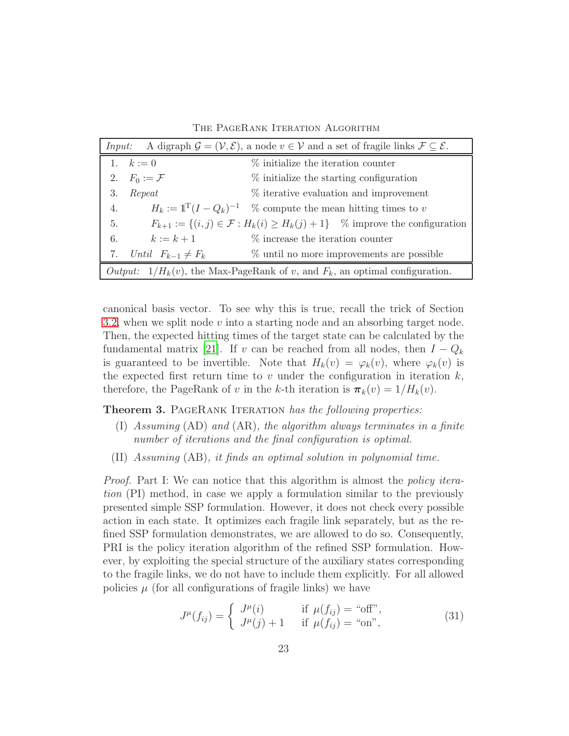|    |                          | <i>Input:</i> A digraph $\mathcal{G} = (\mathcal{V}, \mathcal{E})$ , a node $v \in \mathcal{V}$ and a set of fragile links $\mathcal{F} \subseteq \mathcal{E}$ . |
|----|--------------------------|------------------------------------------------------------------------------------------------------------------------------------------------------------------|
|    | 1. $k := 0$              | % initialize the iteration counter                                                                                                                               |
|    | 2. $F_0 := \mathcal{F}$  | % initialize the starting configuration                                                                                                                          |
| 3. | Repeat                   | % iterative evaluation and improvement                                                                                                                           |
|    | 4.                       | $H_k := \mathbb{1}^T (I - Q_k)^{-1}$ % compute the mean hitting times to v                                                                                       |
|    | 5.                       | $F_{k+1} := \{(i, j) \in \mathcal{F} : H_k(i) \geq H_k(j) + 1\}$ % improve the configuration                                                                     |
| 6. | $k := k + 1$             | % increase the iteration counter                                                                                                                                 |
| 7. | Until $F_{k-1} \neq F_k$ | % until no more improvements are possible                                                                                                                        |
|    |                          | Output: $1/H_k(v)$ , the Max-PageRank of v, and $F_k$ , an optimal configuration.                                                                                |

THE PAGERANK ITERATION ALGORITHM

canonical basis vector. To see why this is true, recall the trick of Section [3.2,](#page-9-0) when we split node  $v$  into a starting node and an absorbing target node. Then, the expected hitting times of the target state can be calculated by the fundamental matrix [\[21](#page-29-10)]. If v can be reached from all nodes, then  $I - Q_k$ is guaranteed to be invertible. Note that  $H_k(v) = \varphi_k(v)$ , where  $\varphi_k(v)$  is the expected first return time to  $v$  under the configuration in iteration  $k$ , therefore, the PageRank of v in the k-th iteration is  $\pi_k(v) = 1/H_k(v)$ .

Theorem 3. PAGERANK ITERATION has the following properties:

- (I) *Assuming* (AD) *and* (AR)*, the algorithm always terminates in a finite number of iterations and the final configuration is optimal.*
- (II) *Assuming* (AB)*, it finds an optimal solution in polynomial time.*

*Proof.* Part I: We can notice that this algorithm is almost the *policy iteration* (PI) method, in case we apply a formulation similar to the previously presented simple SSP formulation. However, it does not check every possible action in each state. It optimizes each fragile link separately, but as the refined SSP formulation demonstrates, we are allowed to do so. Consequently, PRI is the policy iteration algorithm of the refined SSP formulation. However, by exploiting the special structure of the auxiliary states corresponding to the fragile links, we do not have to include them explicitly. For all allowed policies  $\mu$  (for all configurations of fragile links) we have

$$
J^{\mu}(f_{ij}) = \begin{cases} J^{\mu}(i) & \text{if } \mu(f_{ij}) = \text{``off''}, \\ J^{\mu}(j) + 1 & \text{if } \mu(f_{ij}) = \text{``on''}, \end{cases}
$$
(31)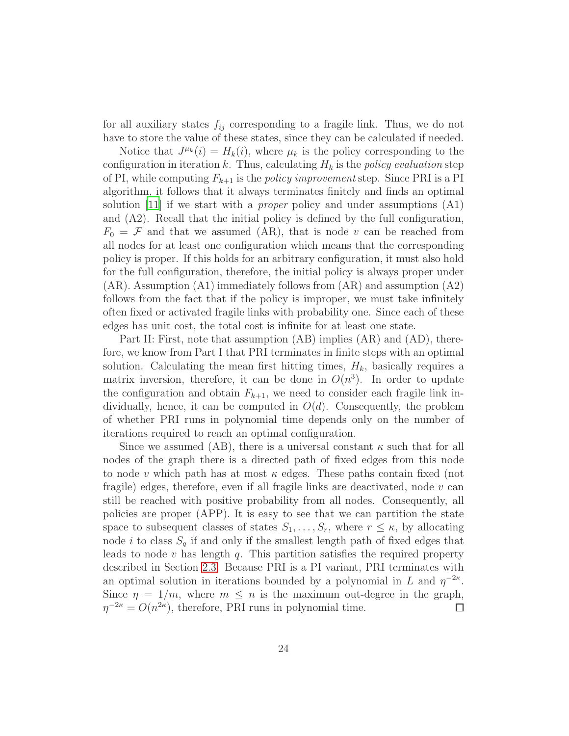for all auxiliary states  $f_{ij}$  corresponding to a fragile link. Thus, we do not have to store the value of these states, since they can be calculated if needed.

Notice that  $J^{\mu_k}(i) = H_k(i)$ , where  $\mu_k$  is the policy corresponding to the configuration in iteration k. Thus, calculating  $H_k$  is the *policy evaluation* step of PI, while computing  $F_{k+1}$  is the *policy improvement* step. Since PRI is a PI algorithm, it follows that it always terminates finitely and finds an optimal solution [\[11](#page-29-0)] if we start with a *proper* policy and under assumptions (A1) and (A2). Recall that the initial policy is defined by the full configuration,  $F_0 = \mathcal{F}$  and that we assumed (AR), that is node v can be reached from all nodes for at least one configuration which means that the corresponding policy is proper. If this holds for an arbitrary configuration, it must also hold for the full configuration, therefore, the initial policy is always proper under (AR). Assumption (A1) immediately follows from (AR) and assumption (A2) follows from the fact that if the policy is improper, we must take infinitely often fixed or activated fragile links with probability one. Since each of these edges has unit cost, the total cost is infinite for at least one state.

Part II: First, note that assumption (AB) implies (AR) and (AD), therefore, we know from Part I that PRI terminates in finite steps with an optimal solution. Calculating the mean first hitting times,  $H_k$ , basically requires a matrix inversion, therefore, it can be done in  $O(n^3)$ . In order to update the configuration and obtain  $F_{k+1}$ , we need to consider each fragile link individually, hence, it can be computed in  $O(d)$ . Consequently, the problem of whether PRI runs in polynomial time depends only on the number of iterations required to reach an optimal configuration.

Since we assumed (AB), there is a universal constant  $\kappa$  such that for all nodes of the graph there is a directed path of fixed edges from this node to node v which path has at most  $\kappa$  edges. These paths contain fixed (not fragile) edges, therefore, even if all fragile links are deactivated, node  $v$  can still be reached with positive probability from all nodes. Consequently, all policies are proper (APP). It is easy to see that we can partition the state space to subsequent classes of states  $S_1, \ldots, S_r$ , where  $r \leq \kappa$ , by allocating node i to class  $S_q$  if and only if the smallest length path of fixed edges that leads to node v has length  $q$ . This partition satisfies the required property described in Section [2.3.](#page-4-1) Because PRI is a PI variant, PRI terminates with an optimal solution in iterations bounded by a polynomial in L and  $\eta^{-2\kappa}$ . Since  $\eta = 1/m$ , where  $m \leq n$  is the maximum out-degree in the graph,  $\eta^{-2\kappa} = O(n^{2\kappa})$ , therefore, PRI runs in polynomial time.  $\Box$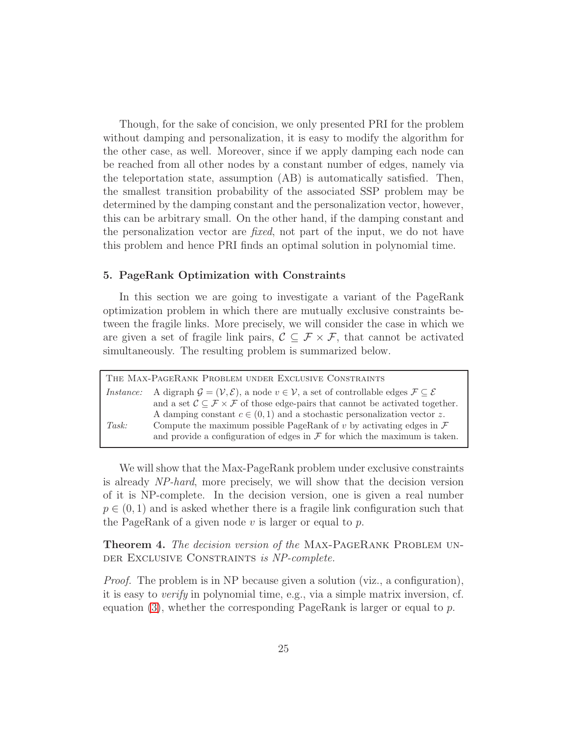Though, for the sake of concision, we only presented PRI for the problem without damping and personalization, it is easy to modify the algorithm for the other case, as well. Moreover, since if we apply damping each node can be reached from all other nodes by a constant number of edges, namely via the teleportation state, assumption (AB) is automatically satisfied. Then, the smallest transition probability of the associated SSP problem may be determined by the damping constant and the personalization vector, however, this can be arbitrary small. On the other hand, if the damping constant and the personalization vector are *fixed*, not part of the input, we do not have this problem and hence PRI finds an optimal solution in polynomial time.

# 5. PageRank Optimization with Constraints

In this section we are going to investigate a variant of the PageRank optimization problem in which there are mutually exclusive constraints between the fragile links. More precisely, we will consider the case in which we are given a set of fragile link pairs,  $\mathcal{C} \subseteq \mathcal{F} \times \mathcal{F}$ , that cannot be activated simultaneously. The resulting problem is summarized below.

| THE MAX-PAGERANK PROBLEM UNDER EXCLUSIVE CONSTRAINTS |                                                                                                                                                     |  |
|------------------------------------------------------|-----------------------------------------------------------------------------------------------------------------------------------------------------|--|
| <i>Instance:</i>                                     | A digraph $\mathcal{G} = (\mathcal{V}, \mathcal{E})$ , a node $v \in \mathcal{V}$ , a set of controllable edges $\mathcal{F} \subseteq \mathcal{E}$ |  |
|                                                      | and a set $\mathcal{C} \subseteq \mathcal{F} \times \mathcal{F}$ of those edge-pairs that cannot be activated together.                             |  |
|                                                      | A damping constant $c \in (0,1)$ and a stochastic personalization vector z.                                                                         |  |
| Task:                                                | Compute the maximum possible PageRank of v by activating edges in $\mathcal F$                                                                      |  |
|                                                      | and provide a configuration of edges in $\mathcal F$ for which the maximum is taken.                                                                |  |

We will show that the Max-PageRank problem under exclusive constraints is already *NP-hard*, more precisely, we will show that the decision version of it is NP-complete. In the decision version, one is given a real number  $p \in (0, 1)$  and is asked whether there is a fragile link configuration such that the PageRank of a given node  $v$  is larger or equal to  $p$ .

Theorem 4. *The decision version of the* Max-PageRank Problem under Exclusive Constraints *is NP-complete.*

*Proof.* The problem is in NP because given a solution (viz., a configuration), it is easy to *verify* in polynomial time, e.g., via a simple matrix inversion, cf. equation [\(3\)](#page-3-0), whether the corresponding PageRank is larger or equal to  $p$ .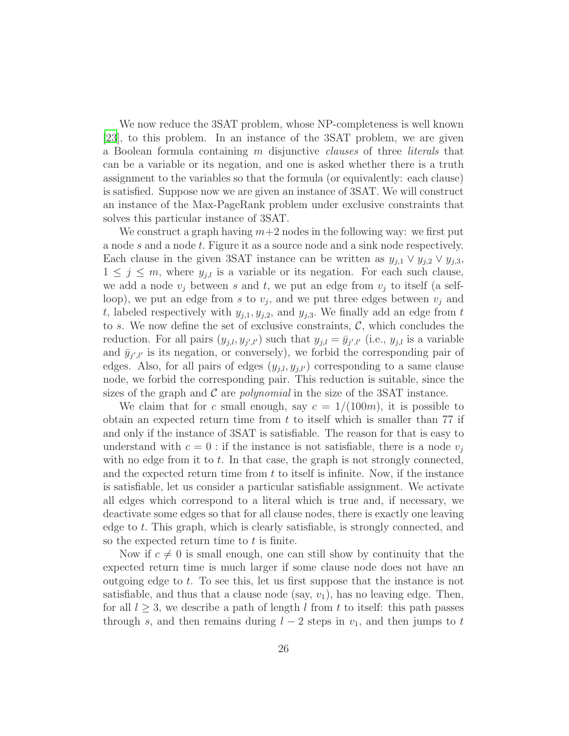We now reduce the 3SAT problem, whose NP-completeness is well known [\[23\]](#page-29-12), to this problem. In an instance of the 3SAT problem, we are given a Boolean formula containing m disjunctive *clauses* of three *literals* that can be a variable or its negation, and one is asked whether there is a truth assignment to the variables so that the formula (or equivalently: each clause) is satisfied. Suppose now we are given an instance of 3SAT. We will construct an instance of the Max-PageRank problem under exclusive constraints that solves this particular instance of 3SAT.

We construct a graph having  $m+2$  nodes in the following way: we first put a node s and a node t. Figure it as a source node and a sink node respectively. Each clause in the given 3SAT instance can be written as  $y_{j,1} \vee y_{j,2} \vee y_{j,3}$ ,  $1 \leq j \leq m$ , where  $y_{j,l}$  is a variable or its negation. For each such clause, we add a node  $v_i$  between s and t, we put an edge from  $v_i$  to itself (a selfloop), we put an edge from s to  $v_j$ , and we put three edges between  $v_j$  and t, labeled respectively with  $y_{j,1}, y_{j,2}$ , and  $y_{j,3}$ . We finally add an edge from t to s. We now define the set of exclusive constraints,  $\mathcal{C}$ , which concludes the reduction. For all pairs  $(y_{j,l}, y_{j',l'})$  such that  $y_{j,l} = \bar{y}_{j',l'}$  (i.e.,  $y_{j,l}$  is a variable and  $\bar{y}_{j',l'}$  is its negation, or conversely), we forbid the corresponding pair of edges. Also, for all pairs of edges  $(y_{j,l}, y_{j,l'})$  corresponding to a same clause node, we forbid the corresponding pair. This reduction is suitable, since the sizes of the graph and C are *polynomial* in the size of the 3SAT instance.

We claim that for c small enough, say  $c = 1/(100m)$ , it is possible to obtain an expected return time from  $t$  to itself which is smaller than 77 if and only if the instance of 3SAT is satisfiable. The reason for that is easy to understand with  $c = 0$ : if the instance is not satisfiable, there is a node  $v_i$ with no edge from it to  $t$ . In that case, the graph is not strongly connected, and the expected return time from  $t$  to itself is infinite. Now, if the instance is satisfiable, let us consider a particular satisfiable assignment. We activate all edges which correspond to a literal which is true and, if necessary, we deactivate some edges so that for all clause nodes, there is exactly one leaving edge to t. This graph, which is clearly satisfiable, is strongly connected, and so the expected return time to  $t$  is finite.

Now if  $c \neq 0$  is small enough, one can still show by continuity that the expected return time is much larger if some clause node does not have an outgoing edge to t. To see this, let us first suppose that the instance is not satisfiable, and thus that a clause node (say,  $v_1$ ), has no leaving edge. Then, for all  $l \geq 3$ , we describe a path of length l from t to itself: this path passes through s, and then remains during  $l - 2$  steps in  $v_1$ , and then jumps to t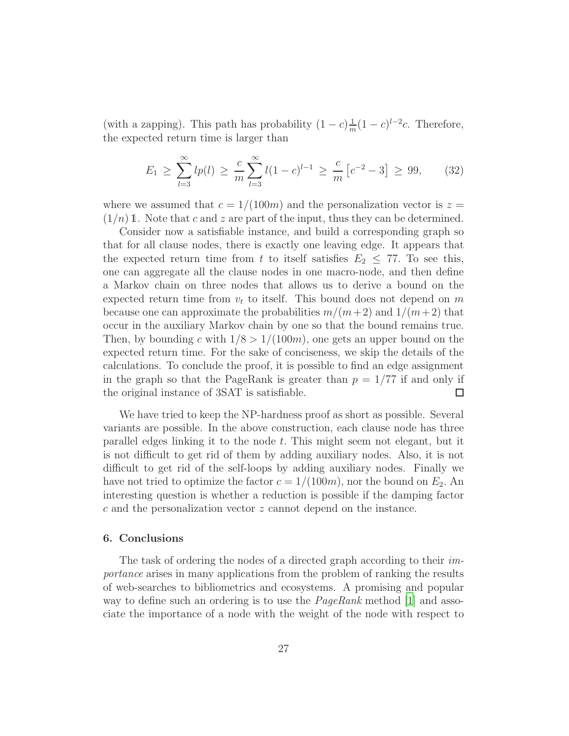(with a zapping). This path has probability  $(1-c)\frac{1}{m}$  $\frac{1}{m}(1-c)^{l-2}c$ . Therefore, the expected return time is larger than

$$
E_1 \ge \sum_{l=3}^{\infty} lp(l) \ge \frac{c}{m} \sum_{l=3}^{\infty} l(1-c)^{l-1} \ge \frac{c}{m} \left[c^{-2} - 3\right] \ge 99, \qquad (32)
$$

where we assumed that  $c = 1/(100m)$  and the personalization vector is  $z =$  $(1/n)$  1. Note that c and z are part of the input, thus they can be determined.

Consider now a satisfiable instance, and build a corresponding graph so that for all clause nodes, there is exactly one leaving edge. It appears that the expected return time from t to itself satisfies  $E_2 \leq 77$ . To see this, one can aggregate all the clause nodes in one macro-node, and then define a Markov chain on three nodes that allows us to derive a bound on the expected return time from  $v_t$  to itself. This bound does not depend on m because one can approximate the probabilities  $m/(m+2)$  and  $1/(m+2)$  that occur in the auxiliary Markov chain by one so that the bound remains true. Then, by bounding c with  $1/8 > 1/(100m)$ , one gets an upper bound on the expected return time. For the sake of conciseness, we skip the details of the calculations. To conclude the proof, it is possible to find an edge assignment in the graph so that the PageRank is greater than  $p = 1/77$  if and only if the original instance of 3SAT is satisfiable.  $\Box$ 

We have tried to keep the NP-hardness proof as short as possible. Several variants are possible. In the above construction, each clause node has three parallel edges linking it to the node t. This might seem not elegant, but it is not difficult to get rid of them by adding auxiliary nodes. Also, it is not difficult to get rid of the self-loops by adding auxiliary nodes. Finally we have not tried to optimize the factor  $c = 1/(100m)$ , nor the bound on  $E_2$ . An interesting question is whether a reduction is possible if the damping factor c and the personalization vector z cannot depend on the instance.

## 6. Conclusions

The task of ordering the nodes of a directed graph according to their *importance* arises in many applications from the problem of ranking the results of web-searches to bibliometrics and ecosystems. A promising and popular way to define such an ordering is to use the *PageRank* method [\[1\]](#page-28-0) and associate the importance of a node with the weight of the node with respect to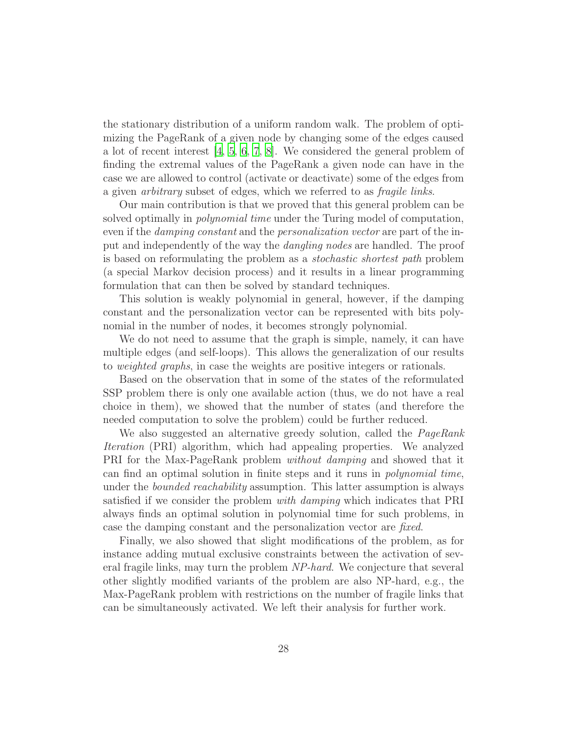the stationary distribution of a uniform random walk. The problem of optimizing the PageRank of a given node by changing some of the edges caused a lot of recent interest [\[4](#page-28-3), [5](#page-28-4), [6,](#page-28-5) [7,](#page-28-6) [8](#page-28-7)]. We considered the general problem of finding the extremal values of the PageRank a given node can have in the case we are allowed to control (activate or deactivate) some of the edges from a given *arbitrary* subset of edges, which we referred to as *fragile links*.

Our main contribution is that we proved that this general problem can be solved optimally in *polynomial time* under the Turing model of computation, even if the *damping constant* and the *personalization vector* are part of the input and independently of the way the *dangling nodes* are handled. The proof is based on reformulating the problem as a *stochastic shortest path* problem (a special Markov decision process) and it results in a linear programming formulation that can then be solved by standard techniques.

This solution is weakly polynomial in general, however, if the damping constant and the personalization vector can be represented with bits polynomial in the number of nodes, it becomes strongly polynomial.

We do not need to assume that the graph is simple, namely, it can have multiple edges (and self-loops). This allows the generalization of our results to *weighted graphs*, in case the weights are positive integers or rationals.

Based on the observation that in some of the states of the reformulated SSP problem there is only one available action (thus, we do not have a real choice in them), we showed that the number of states (and therefore the needed computation to solve the problem) could be further reduced.

We also suggested an alternative greedy solution, called the *PageRank Iteration* (PRI) algorithm, which had appealing properties. We analyzed PRI for the Max-PageRank problem *without damping* and showed that it can find an optimal solution in finite steps and it runs in *polynomial time*, under the *bounded reachability* assumption. This latter assumption is always satisfied if we consider the problem *with damping* which indicates that PRI always finds an optimal solution in polynomial time for such problems, in case the damping constant and the personalization vector are *fixed*.

Finally, we also showed that slight modifications of the problem, as for instance adding mutual exclusive constraints between the activation of several fragile links, may turn the problem *NP-hard*. We conjecture that several other slightly modified variants of the problem are also NP-hard, e.g., the Max-PageRank problem with restrictions on the number of fragile links that can be simultaneously activated. We left their analysis for further work.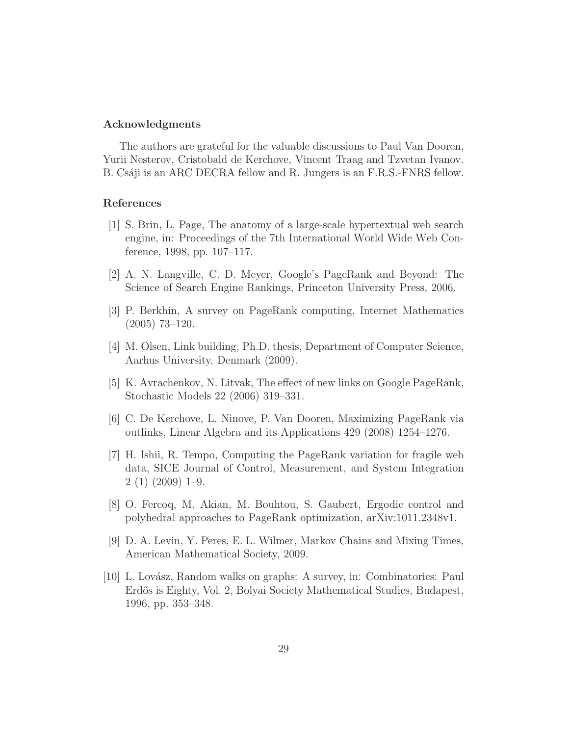#### Acknowledgments

The authors are grateful for the valuable discussions to Paul Van Dooren, Yurii Nesterov, Cristobald de Kerchove, Vincent Traag and Tzvetan Ivanov. B. Csáji is an ARC DECRA fellow and R. Jungers is an F.R.S.-FNRS fellow.

# References

- <span id="page-28-0"></span>[1] S. Brin, L. Page, The anatomy of a large-scale hypertextual web search engine, in: Proceedings of the 7th International World Wide Web Conference, 1998, pp. 107–117.
- <span id="page-28-1"></span>[2] A. N. Langville, C. D. Meyer, Google's PageRank and Beyond: The Science of Search Engine Rankings, Princeton University Press, 2006.
- <span id="page-28-2"></span>[3] P. Berkhin, A survey on PageRank computing, Internet Mathematics (2005) 73–120.
- <span id="page-28-3"></span>[4] M. Olsen, Link building, Ph.D. thesis, Department of Computer Science, Aarhus University, Denmark (2009).
- <span id="page-28-4"></span>[5] K. Avrachenkov, N. Litvak, The effect of new links on Google PageRank, Stochastic Models 22 (2006) 319–331.
- <span id="page-28-5"></span>[6] C. De Kerchove, L. Ninove, P. Van Dooren, Maximizing PageRank via outlinks, Linear Algebra and its Applications 429 (2008) 1254–1276.
- <span id="page-28-6"></span>[7] H. Ishii, R. Tempo, Computing the PageRank variation for fragile web data, SICE Journal of Control, Measurement, and System Integration  $2(1)(2009)$  1–9.
- <span id="page-28-7"></span>[8] O. Fercoq, M. Akian, M. Bouhtou, S. Gaubert, Ergodic control and polyhedral approaches to PageRank optimization, arXiv:1011.2348v1.
- <span id="page-28-8"></span>[9] D. A. Levin, Y. Peres, E. L. Wilmer, Markov Chains and Mixing Times, American Mathematical Society, 2009.
- <span id="page-28-9"></span>[10] L. Lovász, Random walks on graphs: A survey, in: Combinatorics: Paul Erd˝os is Eighty, Vol. 2, Bolyai Society Mathematical Studies, Budapest, 1996, pp. 353–348.